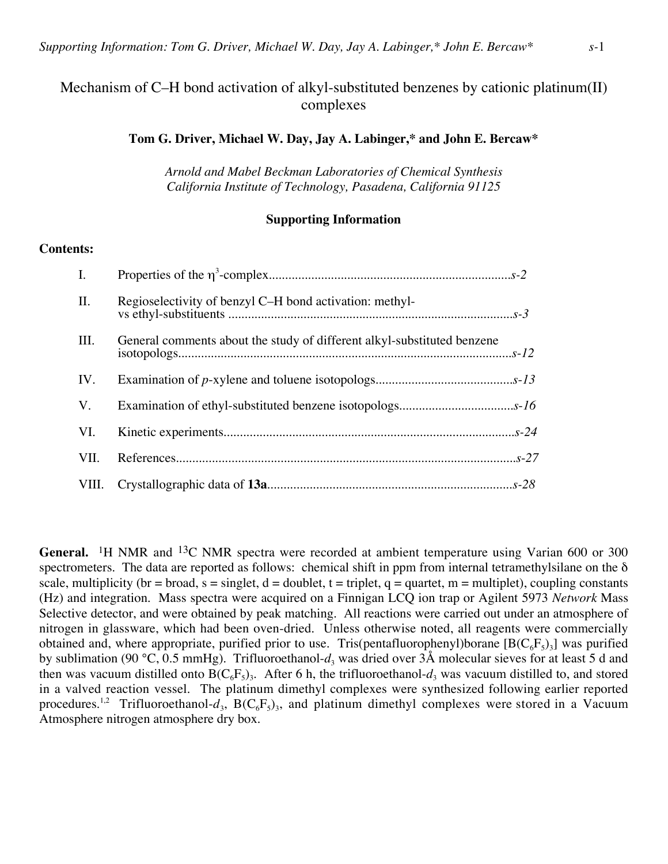# Mechanism of C–H bond activation of alkyl-substituted benzenes by cationic platinum(II) complexes

## **Tom G. Driver, Michael W. Day, Jay A. Labinger,\* and John E. Bercaw\***

*Arnold and Mabel Beckman Laboratories of Chemical Synthesis California Institute of Technology, Pasadena, California 91125*

## **Supporting Information**

## **Contents:**

| $\mathbf{I}$ . |                                                                         |  |
|----------------|-------------------------------------------------------------------------|--|
| II.            | Regioselectivity of benzyl C-H bond activation: methyl-                 |  |
| III.           | General comments about the study of different alkyl-substituted benzene |  |
| IV.            |                                                                         |  |
| V.             |                                                                         |  |
| VI.            |                                                                         |  |
| VII.           |                                                                         |  |
|                |                                                                         |  |

General. <sup>1</sup>H NMR and <sup>13</sup>C NMR spectra were recorded at ambient temperature using Varian 600 or 300 spectrometers. The data are reported as follows: chemical shift in ppm from internal tetramethylsilane on the  $\delta$ scale, multiplicity (br = broad, s = singlet, d = doublet, t = triplet, q = quartet, m = multiplet), coupling constants (Hz) and integration. Mass spectra were acquired on a Finnigan LCQ ion trap or Agilent 5973 *Network* Mass Selective detector, and were obtained by peak matching. All reactions were carried out under an atmosphere of nitrogen in glassware, which had been oven-dried. Unless otherwise noted, all reagents were commercially obtained and, where appropriate, purified prior to use. Tris(pentafluorophenyl)borane  $[ B(C_6F_5)_3]$  was purified by sublimation (90 °C, 0.5 mmHg). Trifluoroethanol- $d_3$  was dried over 3Å molecular sieves for at least 5 d and then was vacuum distilled onto  $B(C_6F_5)$ . After 6 h, the trifluoroethanol- $d_3$  was vacuum distilled to, and stored in a valved reaction vessel. The platinum dimethyl complexes were synthesized following earlier reported procedures.<sup>1,2</sup> Trifluoroethanol- $d_3$ , B(C<sub>6</sub>F<sub>5</sub>)<sub>3</sub>, and platinum dimethyl complexes were stored in a Vacuum Atmosphere nitrogen atmosphere dry box.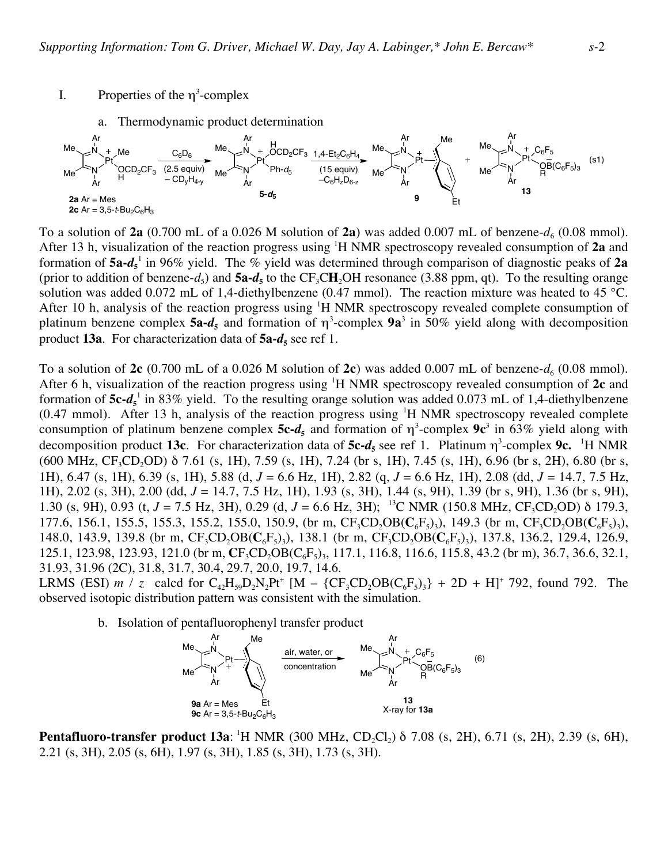I. Properties of the  $\eta^3$ -complex



To a solution of  $2a$  (0.700 mL of a 0.026 M solution of  $2a$ ) was added 0.007 mL of benzene- $d_6$  (0.08 mmol). After 13 h, visualization of the reaction progress using <sup>1</sup> H NMR spectroscopy revealed consumption of **2a** and formation of **5a-***d***<sup>5</sup>** <sup>1</sup> in 96% yield. The % yield was determined through comparison of diagnostic peaks of **2a** (prior to addition of benzene-*d*<sub>5</sub>) and  $5a-d$ <sub>5</sub> to the CF<sub>3</sub>CH<sub>2</sub>OH resonance (3.88 ppm, qt). To the resulting orange solution was added 0.072 mL of 1,4-diethylbenzene (0.47 mmol). The reaction mixture was heated to 45 °C. After 10 h, analysis of the reaction progress using  ${}^{1}H$  NMR spectroscopy revealed complete consumption of platinum benzene complex  $5a-d_s$  and formation of  $\eta^3$ -complex  $9a^3$  in 50% yield along with decomposition product **13a**. For characterization data of  $5a-d_5$  see ref 1.

To a solution of  $2c$  (0.700 mL of a 0.026 M solution of  $2c$ ) was added 0.007 mL of benzene- $d_6$  (0.08 mmol). After 6 h, visualization of the reaction progress using <sup>1</sup> H NMR spectroscopy revealed consumption of **2c** and formation of  $5c-d_s^{-1}$  in 83% yield. To the resulting orange solution was added 0.073 mL of 1,4-diethylbenzene  $(0.47 \text{ mmol})$ . After 13 h, analysis of the reaction progress using <sup>1</sup>H NMR spectroscopy revealed complete consumption of platinum benzene complex  $5c-d<sub>5</sub>$  and formation of  $\eta^3$ -complex  $9c^3$  in 63% yield along with decomposition product 13c. For characterization data of 5c-*d*<sub>5</sub> see ref 1. Platinum  $\eta^3$ -complex 9c. <sup>1</sup>H NMR (600 MHz, CF<sub>3</sub>CD<sub>2</sub>OD)  $\delta$  7.61 (s, 1H), 7.59 (s, 1H), 7.24 (br s, 1H), 7.45 (s, 1H), 6.96 (br s, 2H), 6.80 (br s, 1H), 6.47 (s, 1H), 6.39 (s, 1H), 5.88 (d, *J* = 6.6 Hz, 1H), 2.82 (q, *J* = 6.6 Hz, 1H), 2.08 (dd, *J* = 14.7, 7.5 Hz, 1H), 2.02 (s, 3H), 2.00 (dd, *J* = 14.7, 7.5 Hz, 1H), 1.93 (s, 3H), 1.44 (s, 9H), 1.39 (br s, 9H), 1.36 (br s, 9H), 1.30 (s, 9H), 0.93 (t, *J* = 7.5 Hz, 3H), 0.29 (d, *J* = 6.6 Hz, 3H); <sup>13</sup>C NMR (150.8 MHz, CF<sub>3</sub>CD<sub>2</sub>OD) δ 179.3, 177.6, 156.1, 155.5, 155.3, 155.2, 155.0, 150.9, (br m, CF<sub>3</sub>CD<sub>2</sub>OB( $C_6F_5$ )<sub>3</sub>), 149.3 (br m, CF<sub>3</sub>CD<sub>2</sub>OB( $C_6F_5$ )<sub>3</sub>), 148.0, 143.9, 139.8 (br m,  $CF_3CD_2OB(C_6F_5)$ ), 138.1 (br m,  $CF_3CD_2OB(C_6F_5)$ ), 137.8, 136.2, 129.4, 126.9, 125.1, 123.98, 123.93, 121.0 (br m, **C**F<sub>3</sub>CD<sub>2</sub>OB(C<sub>6</sub>F<sub>5</sub>)<sub>3</sub>, 117.1, 116.8, 116.6, 115.8, 43.2 (br m), 36.7, 36.6, 32.1, 31.93, 31.96 (2C), 31.8, 31.7, 30.4, 29.7, 20.0, 19.7, 14.6.

LRMS (ESI) *m* / *z* calcd for  $C_{42}H_{59}D_2N_2Pt^+$  [M –  $\{CF_3CD_2OB(C_6F_5)_3\}$  + 2D + H]<sup>+</sup> 792, found 792. The observed isotopic distribution pattern was consistent with the simulation.

b. Isolation of pentafluorophenyl transfer product



**Pentafluoro-transfer product 13a**: <sup>1</sup>H NMR (300 MHz, CD<sub>2</sub>Cl<sub>2</sub>) δ 7.08 (s, 2H), 6.71 (s, 2H), 2.39 (s, 6H), 2.21 (s, 3H), 2.05 (s, 6H), 1.97 (s, 3H), 1.85 (s, 3H), 1.73 (s, 3H).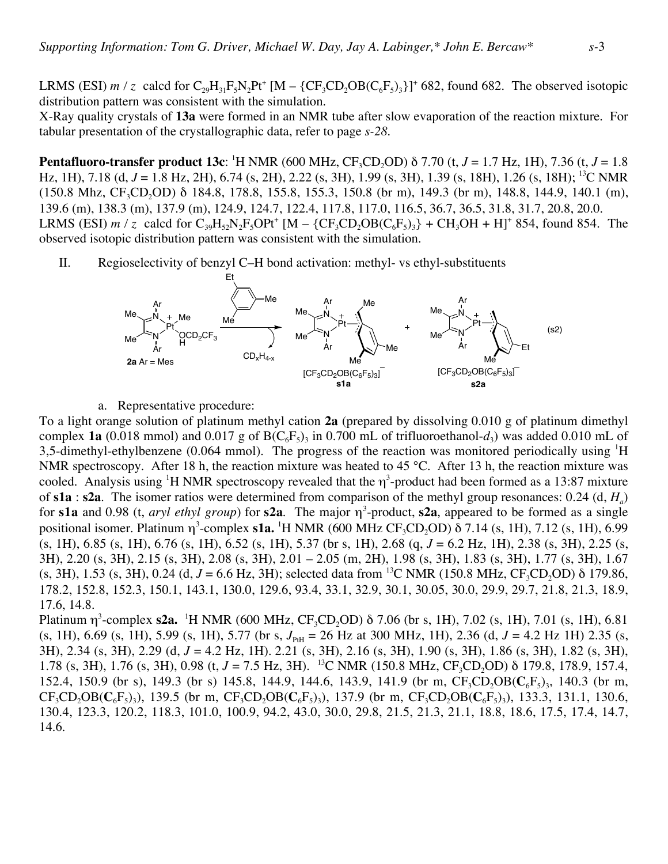LRMS (ESI)  $m / z$  calcd for  $C_{29}H_{31}F_5N_2Pt^+$  [M – {CF<sub>3</sub>CD<sub>2</sub>OB( $C_6F_5$ )<sub>3</sub>}]<sup>+</sup> 682, found 682. The observed isotopic distribution pattern was consistent with the simulation.

X-Ray quality crystals of **13a** were formed in an NMR tube after slow evaporation of the reaction mixture. For tabular presentation of the crystallographic data, refer to page *s-28*.

**Pentafluoro-transfer product 13c**: 1 H NMR (600 MHz, CF3CD2OD) δ 7.70 (t, *J* = 1.7 Hz, 1H), 7.36 (t, *J* = 1.8 Hz, 1H), 7.18 (d, *J* = 1.8 Hz, 2H), 6.74 (s, 2H), 2.22 (s, 3H), 1.99 (s, 3H), 1.39 (s, 18H), 1.26 (s, 18H); 13C NMR  $(150.8 \text{ Mhz}, \text{CF}_3\text{CD}, \text{OD})$  δ 184.8, 178.8, 155.8, 155.3, 150.8 (br m), 149.3 (br m), 148.8, 144.9, 140.1 (m), 139.6 (m), 138.3 (m), 137.9 (m), 124.9, 124.7, 122.4, 117.8, 117.0, 116.5, 36.7, 36.5, 31.8, 31.7, 20.8, 20.0. LRMS (ESI)  $m / z$  calcd for  $C_{39}H_{52}N_2F_5OPt^+$  [M – {CF<sub>3</sub>CD<sub>2</sub>OB(C<sub>6</sub>F<sub>5</sub>)<sub>3</sub>} + CH<sub>3</sub>OH + H]<sup>+</sup> 854, found 854. The observed isotopic distribution pattern was consistent with the simulation.

II. Regioselectivity of benzyl C–H bond activation: methyl- vs ethyl-substituents



a. Representative procedure:

To a light orange solution of platinum methyl cation **2a** (prepared by dissolving 0.010 g of platinum dimethyl complex **1a** (0.018 mmol) and 0.017 g of  $B(C_6F_5)$  in 0.700 mL of trifluoroethanol- $d_3$ ) was added 0.010 mL of 3,5-dimethyl-ethylbenzene (0.064 mmol). The progress of the reaction was monitored periodically using <sup>1</sup>H NMR spectroscopy. After 18 h, the reaction mixture was heated to 45 °C. After 13 h, the reaction mixture was cooled. Analysis using <sup>1</sup>H NMR spectroscopy revealed that the  $\eta^3$ -product had been formed as a 13:87 mixture of **s1a** : **s2a**. The isomer ratios were determined from comparison of the methyl group resonances: 0.24 (d, *Ha*) for **s1a** and 0.98 (t, *aryl ethyl group*) for **s2a**. The major  $\eta^3$ -product, **s2a**, appeared to be formed as a single positional isomer. Platinum η<sup>3</sup>-complex **s1a.** <sup>1</sup>H NMR (600 MHz CF<sub>3</sub>CD<sub>2</sub>OD) δ 7.14 (s, 1H), 7.12 (s, 1H), 6.99 (s, 1H), 6.85 (s, 1H), 6.76 (s, 1H), 6.52 (s, 1H), 5.37 (br s, 1H), 2.68 (q, *J* = 6.2 Hz, 1H), 2.38 (s, 3H), 2.25 (s, 3H), 2.20 (s, 3H), 2.15 (s, 3H), 2.08 (s, 3H), 2.01 – 2.05 (m, 2H), 1.98 (s, 3H), 1.83 (s, 3H), 1.77 (s, 3H), 1.67 (s, 3H), 1.53 (s, 3H), 0.24 (d,  $J = 6.6$  Hz, 3H); selected data from <sup>13</sup>C NMR (150.8 MHz, CF<sub>3</sub>CD<sub>2</sub>OD) δ 179.86, 178.2, 152.8, 152.3, 150.1, 143.1, 130.0, 129.6, 93.4, 33.1, 32.9, 30.1, 30.05, 30.0, 29.9, 29.7, 21.8, 21.3, 18.9, 17.6, 14.8.

Platinum η<sup>3</sup>-complex **s2a.** <sup>1</sup>H NMR (600 MHz, CF<sub>3</sub>CD<sub>2</sub>OD) δ 7.06 (br s, 1H), 7.02 (s, 1H), 7.01 (s, 1H), 6.81 (s, 1H), 6.69 (s, 1H), 5.99 (s, 1H), 5.77 (br s,  $J_{PH}$  = 26 Hz at 300 MHz, 1H), 2.36 (d,  $J = 4.2$  Hz 1H) 2.35 (s, 3H), 2.34 (s, 3H), 2.29 (d, *J* = 4.2 Hz, 1H). 2.21 (s, 3H), 2.16 (s, 3H), 1.90 (s, 3H), 1.86 (s, 3H), 1.82 (s, 3H), 1.78 (s, 3H), 1.76 (s, 3H), 0.98 (t, *J* = 7.5 Hz, 3H). <sup>13</sup>C NMR (150.8 MHz, CF<sub>3</sub>CD<sub>2</sub>OD) δ 179.8, 178.9, 157.4, 152.4, 150.9 (br s), 149.3 (br s) 145.8, 144.9, 144.6, 143.9, 141.9 (br m,  $CF_3CD_3OB(C_6F_5)$ <sub>3</sub>, 140.3 (br m,  $CF_3CD_2OB(C_6F_5)$ <sub>3</sub>), 139.5 (br m,  $CF_3CD_2OB(C_6F_5)$ <sub>3</sub>), 137.9 (br m,  $CF_3CD_2OB(C_6F_5)$ <sub>3</sub>), 133.3, 131.1, 130.6, 130.4, 123.3, 120.2, 118.3, 101.0, 100.9, 94.2, 43.0, 30.0, 29.8, 21.5, 21.3, 21.1, 18.8, 18.6, 17.5, 17.4, 14.7, 14.6.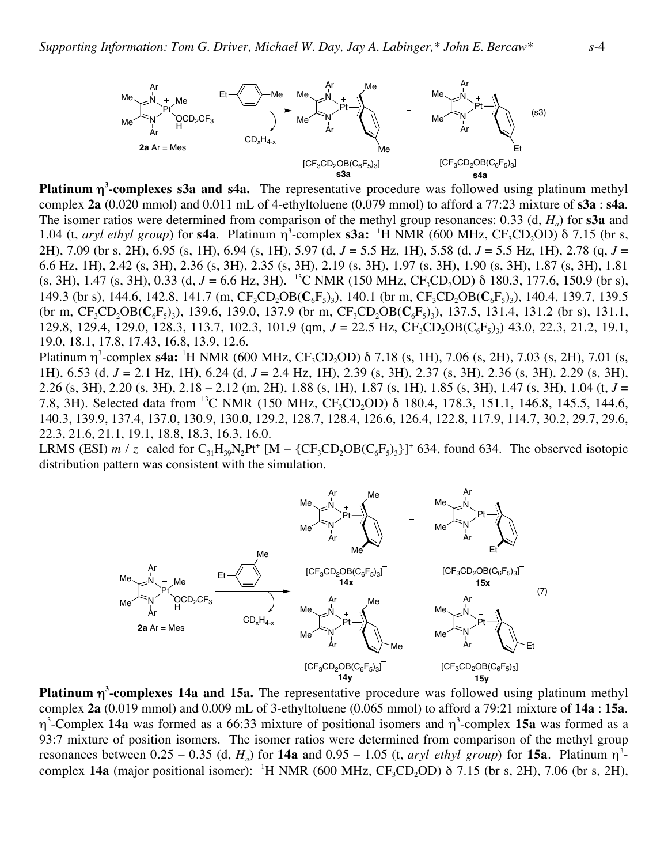

**Platinum** η**<sup>3</sup> -complexes s3a and s4a.** The representative procedure was followed using platinum methyl complex **2a** (0.020 mmol) and 0.011 mL of 4-ethyltoluene (0.079 mmol) to afford a 77:23 mixture of **s3a** : **s4a**. The isomer ratios were determined from comparison of the methyl group resonances: 0.33 (d, *Ha*) for **s3a** and 1.04 (t, *aryl ethyl group*) for **s4a**. Platinum  $\eta^3$ -complex **s3a:** <sup>1</sup>H NMR (600 MHz, CF<sub>3</sub>CD<sub>2</sub>OD)  $\delta$  7.15 (br s, 2H), 7.09 (br s, 2H), 6.95 (s, 1H), 6.94 (s, 1H), 5.97 (d, *J* = 5.5 Hz, 1H), 5.58 (d, *J* = 5.5 Hz, 1H), 2.78 (q, *J* = 6.6 Hz, 1H), 2.42 (s, 3H), 2.36 (s, 3H), 2.35 (s, 3H), 2.19 (s, 3H), 1.97 (s, 3H), 1.90 (s, 3H), 1.87 (s, 3H), 1.81 (s, 3H), 1.47 (s, 3H), 0.33 (d,  $J = 6.6$  Hz, 3H). <sup>13</sup>C NMR (150 MHz, CF<sub>3</sub>CD<sub>2</sub>OD)  $\delta$  180.3, 177.6, 150.9 (br s), 149.3 (br s), 144.6, 142.8, 141.7 (m,  $CF_3CD_2OB(C_6F_5)$ ), 140.1 (br m,  $CF_3CD_2OB(C_6F_5)$ ), 140.4, 139.7, 139.5 (br m,  $CF_3CD_2OB(C_6F_5)$ ), 139.6, 139.0, 137.9 (br m,  $CF_3CD_2OB(C_6F_5)$ ), 137.5, 131.4, 131.2 (br s), 131.1, 129.8, 129.4, 129.0, 128.3, 113.7, 102.3, 101.9 (qm, *J* = 22.5 Hz, **C**F<sub>3</sub>CD<sub>2</sub>OB(C<sub>6</sub>F<sub>5</sub>)<sub>3</sub>) 43.0, 22.3, 21.2, 19.1, 19.0, 18.1, 17.8, 17.43, 16.8, 13.9, 12.6.

Platinum η<sup>3</sup>-complex **s4a:** <sup>1</sup>H NMR (600 MHz, CF<sub>3</sub>CD<sub>2</sub>OD) δ 7.18 (s, 1H), 7.06 (s, 2H), 7.03 (s, 2H), 7.01 (s, 1H), 6.53 (d, *J* = 2.1 Hz, 1H), 6.24 (d, *J* = 2.4 Hz, 1H), 2.39 (s, 3H), 2.37 (s, 3H), 2.36 (s, 3H), 2.29 (s, 3H), 2.26 (s, 3H), 2.20 (s, 3H), 2.18 – 2.12 (m, 2H), 1.88 (s, 1H), 1.87 (s, 1H), 1.85 (s, 3H), 1.47 (s, 3H), 1.04 (t, *J* = 7.8, 3H). Selected data from <sup>13</sup>C NMR (150 MHz, CF<sub>3</sub>CD<sub>2</sub>OD) δ 180.4, 178.3, 151.1, 146.8, 145.5, 144.6, 140.3, 139.9, 137.4, 137.0, 130.9, 130.0, 129.2, 128.7, 128.4, 126.6, 126.4, 122.8, 117.9, 114.7, 30.2, 29.7, 29.6, 22.3, 21.6, 21.1, 19.1, 18.8, 18.3, 16.3, 16.0.

LRMS (ESI)  $m / z$  calcd for  $C_{31}H_{39}N_2Pt^+$  [M – {CF<sub>3</sub>CD<sub>2</sub>OB(C<sub>6</sub>F<sub>5</sub>)<sub>3</sub>}]<sup>+</sup> 634, found 634. The observed isotopic distribution pattern was consistent with the simulation.



**Platinum** η**<sup>3</sup> -complexes 14a and 15a.** The representative procedure was followed using platinum methyl complex **2a** (0.019 mmol) and 0.009 mL of 3-ethyltoluene (0.065 mmol) to afford a 79:21 mixture of **14a** : **15a**. η3 -Complex **14a** was formed as a 66:33 mixture of positional isomers and η<sup>3</sup> -complex **15a** was formed as a 93:7 mixture of position isomers. The isomer ratios were determined from comparison of the methyl group resonances between  $0.25 - 0.35$  (d,  $H_a$ ) for **14a** and  $0.95 - 1.05$  (t, *aryl ethyl group*) for **15a**. Platinum  $\eta^3$ complex **14a** (major positional isomer): <sup>1</sup>H NMR (600 MHz,  $CF_3CD_2OD$ ) δ 7.15 (br s, 2H), 7.06 (br s, 2H),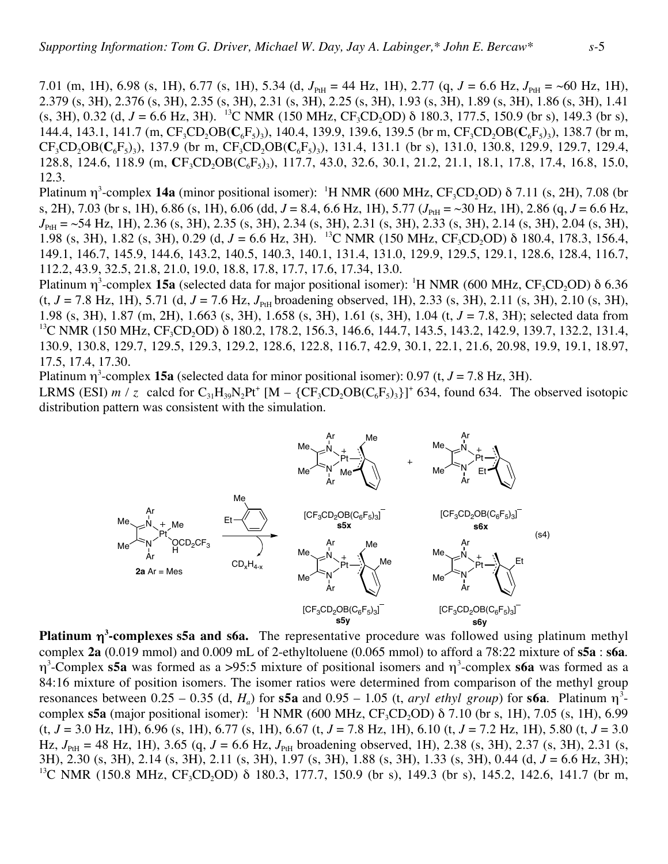7.01 (m, 1H), 6.98 (s, 1H), 6.77 (s, 1H), 5.34 (d,  $J_{PH}$  = 44 Hz, 1H), 2.77 (q,  $J = 6.6$  Hz,  $J_{PH}$  = ~60 Hz, 1H), 2.379 (s, 3H), 2.376 (s, 3H), 2.35 (s, 3H), 2.31 (s, 3H), 2.25 (s, 3H), 1.93 (s, 3H), 1.89 (s, 3H), 1.86 (s, 3H), 1.41 (s, 3H), 0.32 (d,  $J = 6.6$  Hz, 3H). <sup>13</sup>C NMR (150 MHz, CF<sub>3</sub>CD<sub>2</sub>OD)  $\delta$  180.3, 177.5, 150.9 (br s), 149.3 (br s), 144.4, 143.1, 141.7 (m,  $CF_3CD_2OB(C_6F_5)$ ), 140.4, 139.9, 139.6, 139.5 (br m,  $CF_3CD_2OB(C_6F_5)$ ), 138.7 (br m,  $CF_3CD_2OB(C_6F_5)$ <sub>3</sub>), 137.9 (br m,  $CF_3CD_2OB(C_6F_5)$ <sub>3</sub>), 131.4, 131.1 (br s), 131.0, 130.8, 129.9, 129.7, 129.4, 128.8, 124.6, 118.9 (m,  $CF_3CD_3OB(C_6F_5)$ ), 117.7, 43.0, 32.6, 30.1, 21.2, 21.1, 18.1, 17.8, 17.4, 16.8, 15.0, 12.3.

Platinum  $\eta^3$ -complex 14a (minor positional isomer): <sup>1</sup>H NMR (600 MHz, CF<sub>3</sub>CD<sub>2</sub>OD) δ 7.11 (s, 2H), 7.08 (br s, 2H), 7.03 (br s, 1H), 6.86 (s, 1H), 6.06 (dd,  $J = 8.4$ , 6.6 Hz, 1H), 5.77 ( $J_{PH} = \sim 30$  Hz, 1H), 2.86 (q,  $J = 6.6$  Hz, *J*<sub>PtH</sub> = ~54 Hz, 1H), 2.36 (s, 3H), 2.35 (s, 3H), 2.34 (s, 3H), 2.31 (s, 3H), 2.33 (s, 3H), 2.14 (s, 3H), 2.04 (s, 3H), 1.98 (s, 3H), 1.82 (s, 3H), 0.29 (d,  $J = 6.6$  Hz, 3H). <sup>13</sup>C NMR (150 MHz, CF<sub>3</sub>CD<sub>2</sub>OD) δ 180.4, 178.3, 156.4, 149.1, 146.7, 145.9, 144.6, 143.2, 140.5, 140.3, 140.1, 131.4, 131.0, 129.9, 129.5, 129.1, 128.6, 128.4, 116.7, 112.2, 43.9, 32.5, 21.8, 21.0, 19.0, 18.8, 17.8, 17.7, 17.6, 17.34, 13.0.

Platinum  $\eta^3$ -complex 15a (selected data for major positional isomer): <sup>1</sup>H NMR (600 MHz, CF<sub>3</sub>CD<sub>2</sub>OD) δ 6.36  $(t, J = 7.8 \text{ Hz}, 1H)$ , 5.71 (d,  $J = 7.6 \text{ Hz}, J_{\text{PH}}$  broadening observed, 1H), 2.33 (s, 3H), 2.11 (s, 3H), 2.10 (s, 3H), 1.98 (s, 3H), 1.87 (m, 2H), 1.663 (s, 3H), 1.658 (s, 3H), 1.61 (s, 3H), 1.04 (t, *J* = 7.8, 3H); selected data from <sup>13</sup>C NMR (150 MHz, CF<sub>3</sub>CD<sub>2</sub>OD) δ 180.2, 178.2, 156.3, 146.6, 144.7, 143.5, 143.2, 142.9, 139.7, 132.2, 131.4, 130.9, 130.8, 129.7, 129.5, 129.3, 129.2, 128.6, 122.8, 116.7, 42.9, 30.1, 22.1, 21.6, 20.98, 19.9, 19.1, 18.97, 17.5, 17.4, 17.30.

Platinum  $\eta^3$ -complex 15a (selected data for minor positional isomer): 0.97 (t,  $J = 7.8$  Hz, 3H).

LRMS (ESI)  $m / z$  calcd for  $C_{31}H_{39}N_2Pt^+$  [M – {CF<sub>3</sub>CD<sub>2</sub>OB(C<sub>6</sub>F<sub>5</sub>)<sub>3</sub>}]<sup>+</sup> 634, found 634. The observed isotopic distribution pattern was consistent with the simulation.



**Platinum** η**<sup>3</sup> -complexes s5a and s6a.** The representative procedure was followed using platinum methyl complex **2a** (0.019 mmol) and 0.009 mL of 2-ethyltoluene (0.065 mmol) to afford a 78:22 mixture of **s5a** : **s6a**. η3 -Complex **s5a** was formed as a >95:5 mixture of positional isomers and η<sup>3</sup> -complex **s6a** was formed as a 84:16 mixture of position isomers. The isomer ratios were determined from comparison of the methyl group resonances between  $0.25 - 0.35$  (d,  $H_a$ ) for **s5a** and  $0.95 - 1.05$  (t, *aryl ethyl group*) for **s6a**. Platinum  $\eta^3$ complex  $s5a$  (major positional isomer): <sup>1</sup>H NMR (600 MHz,  $CF_3CD_2OD$ ) δ 7.10 (br s, 1H), 7.05 (s, 1H), 6.99 (t, *J* = 3.0 Hz, 1H), 6.96 (s, 1H), 6.77 (s, 1H), 6.67 (t, *J* = 7.8 Hz, 1H), 6.10 (t, *J* = 7.2 Hz, 1H), 5.80 (t, *J* = 3.0 Hz,  $J_{PH}$  = 48 Hz, 1H), 3.65 (q,  $J = 6.6$  Hz,  $J_{PH}$  broadening observed, 1H), 2.38 (s, 3H), 2.37 (s, 3H), 2.31 (s, 3H), 2.30 (s, 3H), 2.14 (s, 3H), 2.11 (s, 3H), 1.97 (s, 3H), 1.88 (s, 3H), 1.33 (s, 3H), 0.44 (d, *J* = 6.6 Hz, 3H); <sup>13</sup>C NMR (150.8 MHz, CF<sub>3</sub>CD<sub>2</sub>OD) δ 180.3, 177.7, 150.9 (br s), 149.3 (br s), 145.2, 142.6, 141.7 (br m,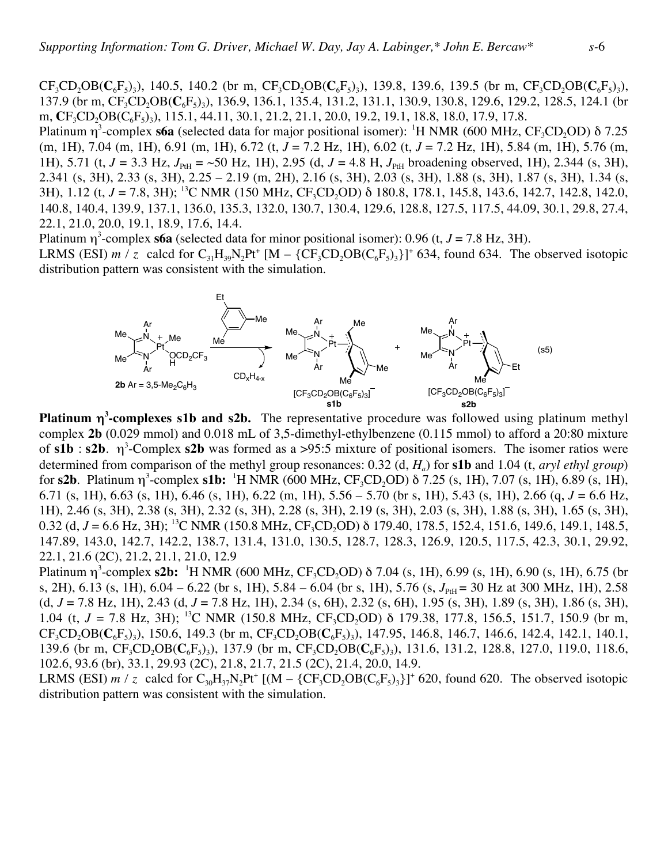$CF_3CD_2OB(C_6F_5)$ , 140.5, 140.2 (br m,  $CF_3CD_2OB(C_6F_5)$ ), 139.8, 139.6, 139.5 (br m,  $CF_3CD_2OB(C_6F_5)$ ), 137.9 (br m, CF<sub>3</sub>CD<sub>2</sub>OB(C<sub>6</sub>F<sub>5</sub>)<sub>3</sub>), 136.9, 136.1, 135.4, 131.2, 131.1, 130.9, 130.8, 129.6, 129.2, 128.5, 124.1 (br m, CF<sub>3</sub>CD<sub>2</sub>OB(C<sub>6</sub>F<sub>5</sub>)<sub>3</sub>), 115.1, 44.11, 30.1, 21.2, 21.1, 20.0, 19.2, 19.1, 18.8, 18.0, 17.9, 17.8.

Platinum  $\eta^3$ -complex s6a (selected data for major positional isomer): <sup>1</sup>H NMR (600 MHz, CF<sub>3</sub>CD<sub>2</sub>OD) δ 7.25 (m, 1H), 7.04 (m, 1H), 6.91 (m, 1H), 6.72 (t, *J* = 7.2 Hz, 1H), 6.02 (t, *J* = 7.2 Hz, 1H), 5.84 (m, 1H), 5.76 (m, 1H), 5.71 (t,  $J = 3.3$  Hz,  $J_{PH} = 50$  Hz, 1H), 2.95 (d,  $J = 4.8$  H,  $J_{PH}$  broadening observed, 1H), 2.344 (s, 3H), 2.341 (s, 3H), 2.33 (s, 3H), 2.25 – 2.19 (m, 2H), 2.16 (s, 3H), 2.03 (s, 3H), 1.88 (s, 3H), 1.87 (s, 3H), 1.34 (s, 3H), 1.12 (t, *J* = 7.8, 3H); <sup>13</sup>C NMR (150 MHz, CF<sub>3</sub>CD<sub>2</sub>OD) δ 180.8, 178.1, 145.8, 143.6, 142.7, 142.8, 142.0, 140.8, 140.4, 139.9, 137.1, 136.0, 135.3, 132.0, 130.7, 130.4, 129.6, 128.8, 127.5, 117.5, 44.09, 30.1, 29.8, 27.4, 22.1, 21.0, 20.0, 19.1, 18.9, 17.6, 14.4.

Platinum  $\eta^3$ -complex **s6a** (selected data for minor positional isomer): 0.96 (t,  $J = 7.8$  Hz, 3H).

LRMS (ESI)  $m / z$  calcd for  $C_{31}H_{39}N_2Pt^+$  [M – {CF<sub>3</sub>CD<sub>2</sub>OB(C<sub>6</sub>F<sub>5</sub>)<sub>3</sub>}]<sup>+</sup> 634, found 634. The observed isotopic distribution pattern was consistent with the simulation.



**Platinum** η**<sup>3</sup> -complexes s1b and s2b.** The representative procedure was followed using platinum methyl complex **2b** (0.029 mmol) and 0.018 mL of 3,5-dimethyl-ethylbenzene (0.115 mmol) to afford a 20:80 mixture of  $s1b : s2b$ .  $\eta^3$ -Complex  $s2b$  was formed as a  $>95:5$  mixture of positional isomers. The isomer ratios were determined from comparison of the methyl group resonances: 0.32 (d, *Ha*) for **s1b** and 1.04 (t, *aryl ethyl group*) for **s2b**. Platinum  $\eta^3$ -complex **s1b:** <sup>1</sup>H NMR (600 MHz,  $CF_3CD_2OD$ ) δ 7.25 (s, 1H), 7.07 (s, 1H), 6.89 (s, 1H), 6.71 (s, 1H), 6.63 (s, 1H), 6.46 (s, 1H), 6.22 (m, 1H), 5.56 – 5.70 (br s, 1H), 5.43 (s, 1H), 2.66 (q, *J* = 6.6 Hz, 1H), 2.46 (s, 3H), 2.38 (s, 3H), 2.32 (s, 3H), 2.28 (s, 3H), 2.19 (s, 3H), 2.03 (s, 3H), 1.88 (s, 3H), 1.65 (s, 3H), 0.32 (d,  $J = 6.6$  Hz, 3H); <sup>13</sup>C NMR (150.8 MHz, CF<sub>3</sub>CD<sub>2</sub>OD)  $\delta$  179.40, 178.5, 152.4, 151.6, 149.6, 149.1, 148.5, 147.89, 143.0, 142.7, 142.2, 138.7, 131.4, 131.0, 130.5, 128.7, 128.3, 126.9, 120.5, 117.5, 42.3, 30.1, 29.92, 22.1, 21.6 (2C), 21.2, 21.1, 21.0, 12.9

Platinum η<sup>3</sup>-complex **s2b:** <sup>1</sup>H NMR (600 MHz, CF<sub>3</sub>CD<sub>2</sub>OD) δ 7.04 (s, 1H), 6.99 (s, 1H), 6.90 (s, 1H), 6.75 (br s, 2H), 6.13 (s, 1H), 6.04 – 6.22 (br s, 1H), 5.84 – 6.04 (br s, 1H), 5.76 (s,  $J_{\text{PH}}$  = 30 Hz at 300 MHz, 1H), 2.58 (d, *J* = 7.8 Hz, 1H), 2.43 (d, *J* = 7.8 Hz, 1H), 2.34 (s, 6H), 2.32 (s, 6H), 1.95 (s, 3H), 1.89 (s, 3H), 1.86 (s, 3H), 1.04 (t,  $J = 7.8$  Hz, 3H); <sup>13</sup>C NMR (150.8 MHz, CF<sub>3</sub>CD<sub>2</sub>OD)  $\delta$  179.38, 177.8, 156.5, 151.7, 150.9 (br m,  $CF_3CD_2OB(C_6F_5)$ <sub>3</sub>), 150.6, 149.3 (br m,  $CF_3CD_2OB(C_6F_5)$ <sub>3</sub>), 147.95, 146.8, 146.7, 146.6, 142.4, 142.1, 140.1, 139.6 (br m, CF<sub>3</sub>CD<sub>2</sub>OB(C<sub>6</sub>F<sub>5</sub>)<sub>3</sub>), 137.9 (br m, CF<sub>3</sub>CD<sub>2</sub>OB(C<sub>6</sub>F<sub>5</sub>)<sub>3</sub>), 131.6, 131.2, 128.8, 127.0, 119.0, 118.6, 102.6, 93.6 (br), 33.1, 29.93 (2C), 21.8, 21.7, 21.5 (2C), 21.4, 20.0, 14.9.

LRMS (ESI)  $m / z$  calcd for C<sub>30</sub>H<sub>37</sub>N<sub>2</sub>Pt<sup>+</sup> [(M – {CF<sub>3</sub>CD<sub>2</sub>OB(C<sub>6</sub>F<sub>5</sub>)<sub>3</sub>}]<sup>+</sup> 620, found 620. The observed isotopic distribution pattern was consistent with the simulation.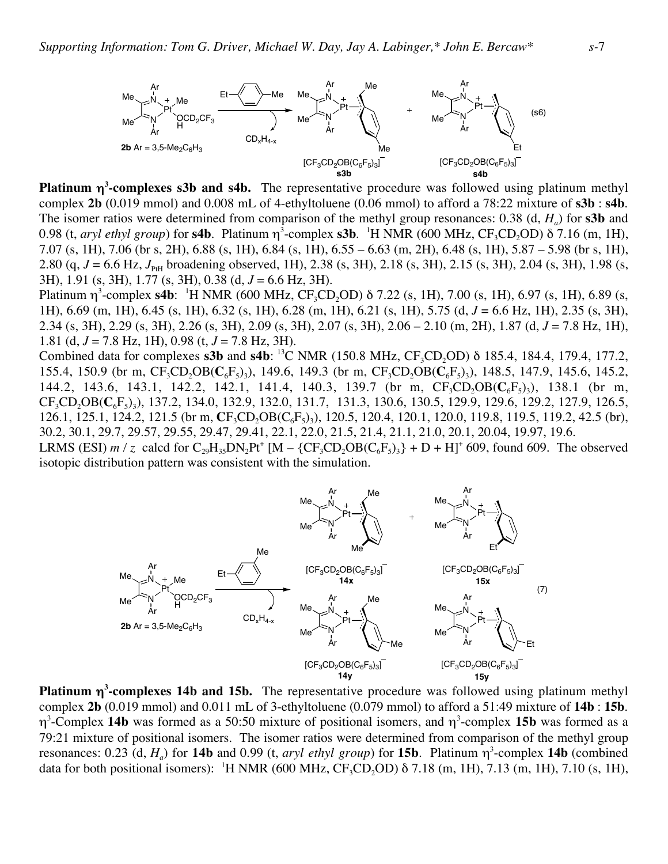

**Platinum** η**<sup>3</sup> -complexes s3b and s4b.** The representative procedure was followed using platinum methyl complex **2b** (0.019 mmol) and 0.008 mL of 4-ethyltoluene (0.06 mmol) to afford a 78:22 mixture of **s3b** : **s4b**. The isomer ratios were determined from comparison of the methyl group resonances: 0.38 (d, *H<sub>a</sub>*) for **s3b** and 0.98 (t, *aryl ethyl group*) for **s4b**. Platinum  $\eta^3$ -complex **s3b**. <sup>1</sup>H NMR (600 MHz,  $CF_3CD_2OD$ ) δ 7.16 (m, 1H), 7.07 (s, 1H), 7.06 (br s, 2H), 6.88 (s, 1H), 6.84 (s, 1H), 6.55 – 6.63 (m, 2H), 6.48 (s, 1H), 5.87 – 5.98 (br s, 1H), 2.80 (q,  $J = 6.6$  Hz,  $J_{\text{PH}}$  broadening observed, 1H), 2.38 (s, 3H), 2.18 (s, 3H), 2.15 (s, 3H), 2.04 (s, 3H), 1.98 (s, 3H), 1.91 (s, 3H), 1.77 (s, 3H), 0.38 (d, *J* = 6.6 Hz, 3H).

Platinum  $\eta^3$ -complex **s4b**: <sup>1</sup>H NMR (600 MHz, CF<sub>3</sub>CD<sub>2</sub>OD) δ 7.22 (s, 1H), 7.00 (s, 1H), 6.97 (s, 1H), 6.89 (s, 1H), 6.69 (m, 1H), 6.45 (s, 1H), 6.32 (s, 1H), 6.28 (m, 1H), 6.21 (s, 1H), 5.75 (d, *J* = 6.6 Hz, 1H), 2.35 (s, 3H), 2.34 (s, 3H), 2.29 (s, 3H), 2.26 (s, 3H), 2.09 (s, 3H), 2.07 (s, 3H), 2.06 – 2.10 (m, 2H), 1.87 (d, *J* = 7.8 Hz, 1H), 1.81 (d, *J* = 7.8 Hz, 1H), 0.98 (t, *J* = 7.8 Hz, 3H).

Combined data for complexes  $s3b$  and  $s4b$ : <sup>13</sup>C NMR (150.8 MHz, CF<sub>3</sub>CD<sub>2</sub>OD)  $\delta$  185.4, 184.4, 179.4, 177.2, 155.4, 150.9 (br m,  $CF_3CD_2OB(C_6F_5)$ ), 149.6, 149.3 (br m,  $CF_3CD_2OB(C_6F_5)$ ), 148.5, 147.9, 145.6, 145.2, 144.2, 143.6, 143.1, 142.2, 142.1, 141.4, 140.3, 139.7 (br m,  $CF_3CD_0BC_6F_5_3$ ), 138.1 (br m, CF<sub>3</sub>CD<sub>2</sub>OB(C<sub>6</sub>F<sub>5</sub>)<sub>3</sub>), 137.2, 134.0, 132.9, 132.0, 131.7, 131.3, 130.6, 130.5, 129.9, 129.6, 129.2, 127.9, 126.5, 126.1, 125.1, 124.2, 121.5 (br m,  $CF_3CD_2OB(C_6F_5)$ ), 120.5, 120.4, 120.1, 120.0, 119.8, 119.5, 119.2, 42.5 (br), 30.2, 30.1, 29.7, 29.57, 29.55, 29.47, 29.41, 22.1, 22.0, 21.5, 21.4, 21.1, 21.0, 20.1, 20.04, 19.97, 19.6.

LRMS (ESI)  $m / z$  calcd for  $C_{29}H_{35}DN_2Pt^+$  [M – {CF<sub>3</sub>CD<sub>2</sub>OB( $C_6F_5$ )<sub>3</sub>} + D + H]<sup>+</sup> 609, found 609. The observed isotopic distribution pattern was consistent with the simulation.



**Platinum** η**<sup>3</sup> -complexes 14b and 15b.** The representative procedure was followed using platinum methyl complex **2b** (0.019 mmol) and 0.011 mL of 3-ethyltoluene (0.079 mmol) to afford a 51:49 mixture of **14b** : **15b**. η3 -Complex **14b** was formed as a 50:50 mixture of positional isomers, and η<sup>3</sup> -complex **15b** was formed as a 79:21 mixture of positional isomers. The isomer ratios were determined from comparison of the methyl group resonances: 0.23 (d,  $H_a$ ) for **14b** and 0.99 (t, *aryl ethyl group*) for **15b**. Platinum  $\eta^3$ -complex **14b** (combined data for both positional isomers): <sup>1</sup>H NMR (600 MHz,  $CF_3CD_2OD$ ) δ 7.18 (m, 1H), 7.13 (m, 1H), 7.10 (s, 1H),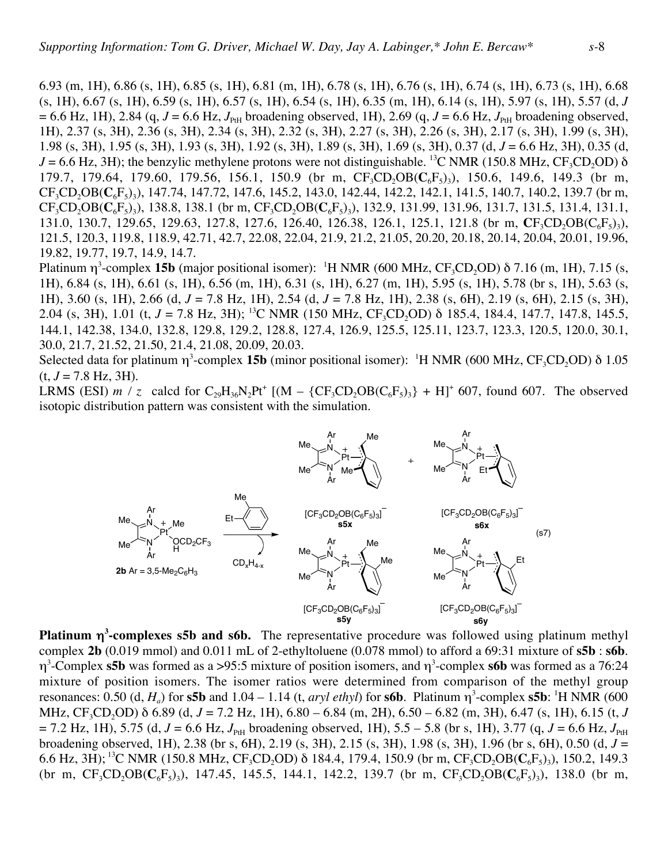6.93 (m, 1H), 6.86 (s, 1H), 6.85 (s, 1H), 6.81 (m, 1H), 6.78 (s, 1H), 6.76 (s, 1H), 6.74 (s, 1H), 6.73 (s, 1H), 6.68 (s, 1H), 6.67 (s, 1H), 6.59 (s, 1H), 6.57 (s, 1H), 6.54 (s, 1H), 6.35 (m, 1H), 6.14 (s, 1H), 5.97 (s, 1H), 5.57 (d, *J*  $= 6.6$  Hz, 1H), 2.84 (q,  $J = 6.6$  Hz,  $J_{\text{PH}}$  broadening observed, 1H), 2.69 (q,  $J = 6.6$  Hz,  $J_{\text{PH}}$  broadening observed, 1H), 2.37 (s, 3H), 2.36 (s, 3H), 2.34 (s, 3H), 2.32 (s, 3H), 2.27 (s, 3H), 2.26 (s, 3H), 2.17 (s, 3H), 1.99 (s, 3H), 1.98 (s, 3H), 1.95 (s, 3H), 1.93 (s, 3H), 1.92 (s, 3H), 1.89 (s, 3H), 1.69 (s, 3H), 0.37 (d, *J* = 6.6 Hz, 3H), 0.35 (d,  $J = 6.6$  Hz, 3H); the benzylic methylene protons were not distinguishable. <sup>13</sup>C NMR (150.8 MHz, CF<sub>3</sub>CD<sub>2</sub>OD)  $\delta$ 179.7, 179.64, 179.60, 179.56, 156.1, 150.9 (br m, CF<sub>3</sub>CD<sub>2</sub>OB(C<sub>6</sub>F<sub>5</sub>)<sub>3</sub>), 150.6, 149.6, 149.3 (br m, CF<sub>3</sub>CD<sub>2</sub>OB(C<sub>6</sub>F<sub>5</sub>)<sub>3</sub>), 147.74, 147.72, 147.6, 145.2, 143.0, 142.44, 142.2, 142.1, 141.5, 140.7, 140.2, 139.7 (br m,  $CF_3CD_2OB(C_6F_5)$ <sub>3</sub>), 138.8, 138.1 (br m,  $CF_3CD_2OB(C_6F_5)$ <sub>3</sub>), 132.9, 131.99, 131.96, 131.7, 131.5, 131.4, 131.1, 131.0, 130.7, 129.65, 129.63, 127.8, 127.6, 126.40, 126.38, 126.1, 125.1, 121.8 (br m,  $CF_3CD_2OB(C_6F_5)_3$ ), 121.5, 120.3, 119.8, 118.9, 42.71, 42.7, 22.08, 22.04, 21.9, 21.2, 21.05, 20.20, 20.18, 20.14, 20.04, 20.01, 19.96, 19.82, 19.77, 19.7, 14.9, 14.7.

Platinum  $\eta^3$ -complex 15b (major positional isomer): <sup>1</sup>H NMR (600 MHz, CF<sub>3</sub>CD<sub>2</sub>OD) δ 7.16 (m, 1H), 7.15 (s, 1H), 6.84 (s, 1H), 6.61 (s, 1H), 6.56 (m, 1H), 6.31 (s, 1H), 6.27 (m, 1H), 5.95 (s, 1H), 5.78 (br s, 1H), 5.63 (s, 1H), 3.60 (s, 1H), 2.66 (d, *J* = 7.8 Hz, 1H), 2.54 (d, *J* = 7.8 Hz, 1H), 2.38 (s, 6H), 2.19 (s, 6H), 2.15 (s, 3H), 2.04 (s, 3H), 1.01 (t, *J* = 7.8 Hz, 3H); <sup>13</sup>C NMR (150 MHz, CF<sub>3</sub>CD<sub>2</sub>OD) δ 185.4, 184.4, 147.7, 147.8, 145.5, 144.1, 142.38, 134.0, 132.8, 129.8, 129.2, 128.8, 127.4, 126.9, 125.5, 125.11, 123.7, 123.3, 120.5, 120.0, 30.1, 30.0, 21.7, 21.52, 21.50, 21.4, 21.08, 20.09, 20.03.

Selected data for platinum  $\eta^3$ -complex **15b** (minor positional isomer): <sup>1</sup>H NMR (600 MHz, CF<sub>3</sub>CD<sub>2</sub>OD) δ 1.05  $(t, J = 7.8 \text{ Hz}, 3H)$ .

LRMS (ESI) *m* / *z* calcd for  $C_{29}H_{36}N_2Pt^+$  [(M – {CF<sub>3</sub>CD<sub>2</sub>OB( $C_6F_5$ )<sub>3</sub>} + H]<sup>+</sup> 607, found 607. The observed isotopic distribution pattern was consistent with the simulation.



**Platinum** η**<sup>3</sup> -complexes s5b and s6b.** The representative procedure was followed using platinum methyl complex **2b** (0.019 mmol) and 0.011 mL of 2-ethyltoluene (0.078 mmol) to afford a 69:31 mixture of **s5b** : **s6b**. η3 -Complex **s5b** was formed as a >95:5 mixture of position isomers, and η<sup>3</sup> -complex **s6b** was formed as a 76:24 mixture of position isomers. The isomer ratios were determined from comparison of the methyl group resonances: 0.50 (d,  $H_a$ ) for **s5b** and 1.04 – 1.14 (t, *aryl ethyl*) for **s6b**. Platinum  $\eta^3$ -complex **s5b**: <sup>1</sup>H NMR (600 MHz, CF<sub>3</sub>CD<sub>2</sub>OD) δ 6.89 (d, *J* = 7.2 Hz, 1H), 6.80 – 6.84 (m, 2H), 6.50 – 6.82 (m, 3H), 6.47 (s, 1H), 6.15 (t, *J*  $= 7.2$  Hz, 1H), 5.75 (d,  $J = 6.6$  Hz,  $J_{PH}$  broadening observed, 1H), 5.5 – 5.8 (br s, 1H), 3.77 (q,  $J = 6.6$  Hz,  $J_{PH}$ broadening observed, 1H), 2.38 (br s, 6H), 2.19 (s, 3H), 2.15 (s, 3H), 1.98 (s, 3H), 1.96 (br s, 6H), 0.50 (d, *J* = 6.6 Hz, 3H); <sup>13</sup>C NMR (150.8 MHz, CF<sub>3</sub>CD<sub>2</sub>OD)  $\delta$  184.4, 179.4, 150.9 (br m, CF<sub>3</sub>CD<sub>2</sub>OB( $C_6F_5$ )<sub>3</sub>), 150.2, 149.3 (br m,  $CF_3CD_2OB(C_6F_5)$ ), 147.45, 145.5, 144.1, 142.2, 139.7 (br m,  $CF_3CD_2OB(C_6F_5)$ ), 138.0 (br m,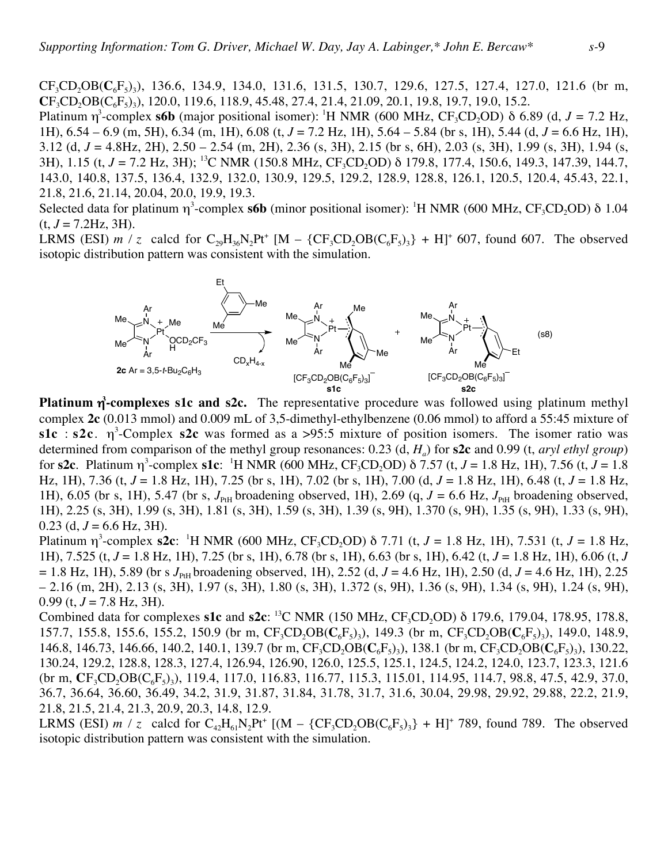CF<sub>3</sub>CD<sub>2</sub>OB(C<sub>6</sub>F<sub>5</sub>)<sub>3</sub>), 136.6, 134.9, 134.0, 131.6, 131.5, 130.7, 129.6, 127.5, 127.4, 127.0, 121.6 (br m,  $CF_3CD_2OB(C_6F_5)$ <sub>3</sub>), 120.0, 119.6, 118.9, 45.48, 27.4, 21.4, 21.09, 20.1, 19.8, 19.7, 19.0, 15.2.

Platinum  $\eta^3$ -complex **s6b** (major positional isomer): <sup>1</sup>H NMR (600 MHz, CF<sub>3</sub>CD<sub>2</sub>OD) δ 6.89 (d, *J* = 7.2 Hz, 1H), 6.54 – 6.9 (m, 5H), 6.34 (m, 1H), 6.08 (t, *J* = 7.2 Hz, 1H), 5.64 – 5.84 (br s, 1H), 5.44 (d, *J* = 6.6 Hz, 1H), 3.12 (d, *J* = 4.8Hz, 2H), 2.50 – 2.54 (m, 2H), 2.36 (s, 3H), 2.15 (br s, 6H), 2.03 (s, 3H), 1.99 (s, 3H), 1.94 (s, 3H), 1.15 (t, *J* = 7.2 Hz, 3H); <sup>13</sup>C NMR (150.8 MHz, CF<sub>3</sub>CD<sub>2</sub>OD) δ 179.8, 177.4, 150.6, 149.3, 147.39, 144.7, 143.0, 140.8, 137.5, 136.4, 132.9, 132.0, 130.9, 129.5, 129.2, 128.9, 128.8, 126.1, 120.5, 120.4, 45.43, 22.1, 21.8, 21.6, 21.14, 20.04, 20.0, 19.9, 19.3.

Selected data for platinum  $\eta^3$ -complex **s6b** (minor positional isomer): <sup>1</sup>H NMR (600 MHz, CF<sub>3</sub>CD<sub>2</sub>OD) δ 1.04  $(t, J = 7.2$ Hz, 3H).

LRMS (ESI)  $m / z$  calcd for  $C_{29}H_{36}N_2Pt^+$  [M –  $\{CF_3CD_2OB(C_6F_5)_3\}$  + H]<sup>+</sup> 607, found 607. The observed isotopic distribution pattern was consistent with the simulation.



**Platinum** η<sup>3</sup>-complexes s1c and s2c. The representative procedure was followed using platinum methyl complex **2c** (0.013 mmol) and 0.009 mL of 3,5-dimethyl-ethylbenzene (0.06 mmol) to afford a 55:45 mixture of **s1c** : **s2c**.  $\eta^3$ -Complex **s2c** was formed as a >95:5 mixture of position isomers. The isomer ratio was determined from comparison of the methyl group resonances: 0.23 (d, *Ha*) for **s2c** and 0.99 (t, *aryl ethyl group*) for **s2c**. Platinum  $\eta^3$ -complex **s1c**: <sup>1</sup>H NMR (600 MHz, CF<sub>3</sub>CD<sub>2</sub>OD)  $\delta$  7.57 (t, *J* = 1.8 Hz, 1H), 7.56 (t, *J* = 1.8 Hz, 1H), 7.36 (t, *J* = 1.8 Hz, 1H), 7.25 (br s, 1H), 7.02 (br s, 1H), 7.00 (d, *J* = 1.8 Hz, 1H), 6.48 (t, *J* = 1.8 Hz, 1H), 6.05 (br s, 1H), 5.47 (br s,  $J_{PH}$  broadening observed, 1H), 2.69 (q,  $J = 6.6$  Hz,  $J_{PH}$  broadening observed, 1H), 2.25 (s, 3H), 1.99 (s, 3H), 1.81 (s, 3H), 1.59 (s, 3H), 1.39 (s, 9H), 1.370 (s, 9H), 1.35 (s, 9H), 1.33 (s, 9H), 0.23 (d,  $J = 6.6$  Hz, 3H).

Platinum  $\eta^3$ -complex **s2c**: <sup>1</sup>H NMR (600 MHz, CF<sub>3</sub>CD<sub>2</sub>OD) δ 7.71 (t, *J* = 1.8 Hz, 1H), 7.531 (t, *J* = 1.8 Hz, 1H), 7.525 (t, *J* = 1.8 Hz, 1H), 7.25 (br s, 1H), 6.78 (br s, 1H), 6.63 (br s, 1H), 6.42 (t, *J* = 1.8 Hz, 1H), 6.06 (t, *J*  $= 1.8$  Hz, 1H), 5.89 (br s  $J_{PH}$  broadening observed, 1H), 2.52 (d,  $J = 4.6$  Hz, 1H), 2.50 (d,  $J = 4.6$  Hz, 1H), 2.25  $- 2.16$  (m, 2H), 2.13 (s, 3H), 1.97 (s, 3H), 1.80 (s, 3H), 1.372 (s, 9H), 1.36 (s, 9H), 1.34 (s, 9H), 1.24 (s, 9H), 0.99 (t,  $J = 7.8$  Hz, 3H).

Combined data for complexes **s1c** and **s2c**: <sup>13</sup>C NMR (150 MHz, CF<sub>3</sub>CD<sub>2</sub>OD) δ 179.6, 179.04, 178.95, 178.8, 157.7, 155.8, 155.6, 155.2, 150.9 (br m,  $CF_3CD_3OB(C_6F_5)$ ), 149.3 (br m,  $CF_3CD_3OB(C_6F_5)$ ), 149.0, 148.9, 146.8, 146.73, 146.66, 140.2, 140.1, 139.7 (br m, CF<sub>3</sub>CD<sub>2</sub>OB( $C_6F_5$ )<sub>3</sub>), 138.1 (br m, CF<sub>3</sub>CD<sub>2</sub>OB( $C_6F_5$ )<sub>3</sub>), 130.22, 130.24, 129.2, 128.8, 128.3, 127.4, 126.94, 126.90, 126.0, 125.5, 125.1, 124.5, 124.2, 124.0, 123.7, 123.3, 121.6 (br m,  $CF_3CD_2OB(C_6F_5)$ ), 119.4, 117.0, 116.83, 116.77, 115.3, 115.01, 114.95, 114.7, 98.8, 47.5, 42.9, 37.0, 36.7, 36.64, 36.60, 36.49, 34.2, 31.9, 31.87, 31.84, 31.78, 31.7, 31.6, 30.04, 29.98, 29.92, 29.88, 22.2, 21.9, 21.8, 21.5, 21.4, 21.3, 20.9, 20.3, 14.8, 12.9.

LRMS (ESI)  $m / z$  calcd for  $C_{42}H_{61}N_2Pt^+$  [(M – {CF<sub>3</sub>CD<sub>2</sub>OB( $C_6F_5$ )<sub>3</sub>} + H]<sup>+</sup> 789, found 789. The observed isotopic distribution pattern was consistent with the simulation.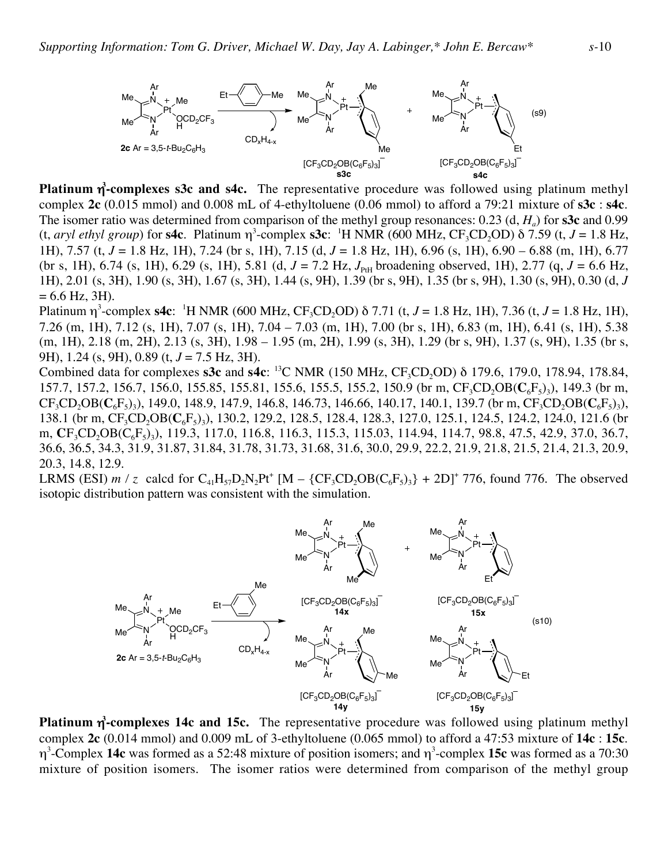

**Platinum** η **3 -complexes s3c and s4c.** The representative procedure was followed using platinum methyl complex **2c** (0.015 mmol) and 0.008 mL of 4-ethyltoluene (0.06 mmol) to afford a 79:21 mixture of **s3c** : **s4c**. The isomer ratio was determined from comparison of the methyl group resonances: 0.23 (d, *Ha*) for **s3c** and 0.99 (t, *aryl ethyl group*) for **s4c**. Platinum  $\eta^3$ -complex **s3c**: <sup>1</sup>H NMR (600 MHz,  $CF_3CD_2OD$ )  $\delta$  7.59 (t, *J* = 1.8 Hz, 1H), 7.57 (t, *J* = 1.8 Hz, 1H), 7.24 (br s, 1H), 7.15 (d, *J* = 1.8 Hz, 1H), 6.96 (s, 1H), 6.90 – 6.88 (m, 1H), 6.77 (br s, 1H), 6.74 (s, 1H), 6.29 (s, 1H), 5.81 (d,  $J = 7.2$  Hz,  $J_{PH}$  broadening observed, 1H), 2.77 (q,  $J = 6.6$  Hz, 1H), 2.01 (s, 3H), 1.90 (s, 3H), 1.67 (s, 3H), 1.44 (s, 9H), 1.39 (br s, 9H), 1.35 (br s, 9H), 1.30 (s, 9H), 0.30 (d, *J*  $= 6.6$  Hz, 3H).

Platinum η<sup>3</sup>-complex **s4c**: <sup>1</sup>H NMR (600 MHz, CF<sub>3</sub>CD<sub>2</sub>OD) δ 7.71 (t, *J* = 1.8 Hz, 1H), 7.36 (t, *J* = 1.8 Hz, 1H), 7.26 (m, 1H), 7.12 (s, 1H), 7.07 (s, 1H), 7.04 – 7.03 (m, 1H), 7.00 (br s, 1H), 6.83 (m, 1H), 6.41 (s, 1H), 5.38 (m, 1H), 2.18 (m, 2H), 2.13 (s, 3H), 1.98 – 1.95 (m, 2H), 1.99 (s, 3H), 1.29 (br s, 9H), 1.37 (s, 9H), 1.35 (br s, 9H), 1.24 (s, 9H), 0.89 (t, *J* = 7.5 Hz, 3H).

Combined data for complexes **s3c** and **s4c**: <sup>13</sup>C NMR (150 MHz, CF<sub>3</sub>CD<sub>2</sub>OD) δ 179.6, 179.0, 178.94, 178.84, 157.7, 157.2, 156.7, 156.0, 155.85, 155.81, 155.6, 155.5, 155.2, 150.9 (br m, CF<sub>3</sub>CD<sub>2</sub>OB(C<sub>6</sub>F<sub>5</sub>)<sub>3</sub>), 149.3 (br m,  $CF_3CD_2OB(C_6F_5)$ <sub>3</sub>), 149.0, 148.9, 147.9, 146.8, 146.73, 146.66, 140.17, 140.1, 139.7 (br m, CF<sub>3</sub>CD<sub>2</sub>OB(C<sub>6</sub>F<sub>5</sub>)<sub>3</sub>), 138.1 (br m, CF<sub>3</sub>CD<sub>2</sub>OB(C<sub>6</sub>F<sub>5</sub>)<sub>3</sub>), 130.2, 129.2, 128.5, 128.4, 128.3, 127.0, 125.1, 124.5, 124.2, 124.0, 121.6 (br m, **C**F<sub>3</sub>CD<sub>2</sub>OB(C<sub>6</sub>F<sub>5</sub>)<sub>3</sub>), 119.3, 117.0, 116.8, 116.3, 115.3, 115.03, 114.94, 114.7, 98.8, 47.5, 42.9, 37.0, 36.7, 36.6, 36.5, 34.3, 31.9, 31.87, 31.84, 31.78, 31.73, 31.68, 31.6, 30.0, 29.9, 22.2, 21.9, 21.8, 21.5, 21.4, 21.3, 20.9, 20.3, 14.8, 12.9.

LRMS (ESI) *m* / *z* calcd for  $C_{41}H_{57}D_2N_2Pt^+$  [M –  $\{CF_3CD_2OB(C_6F_5)_3\}$  + 2D]<sup>+</sup> 776, found 776. The observed isotopic distribution pattern was consistent with the simulation.



**Platinum** η **3 -complexes 14c and 15c.** The representative procedure was followed using platinum methyl complex **2c** (0.014 mmol) and 0.009 mL of 3-ethyltoluene (0.065 mmol) to afford a 47:53 mixture of **14c** : **15c**. η3 -Complex **14c** was formed as a 52:48 mixture of position isomers; and η<sup>3</sup> -complex **15c** was formed as a 70:30 mixture of position isomers. The isomer ratios were determined from comparison of the methyl group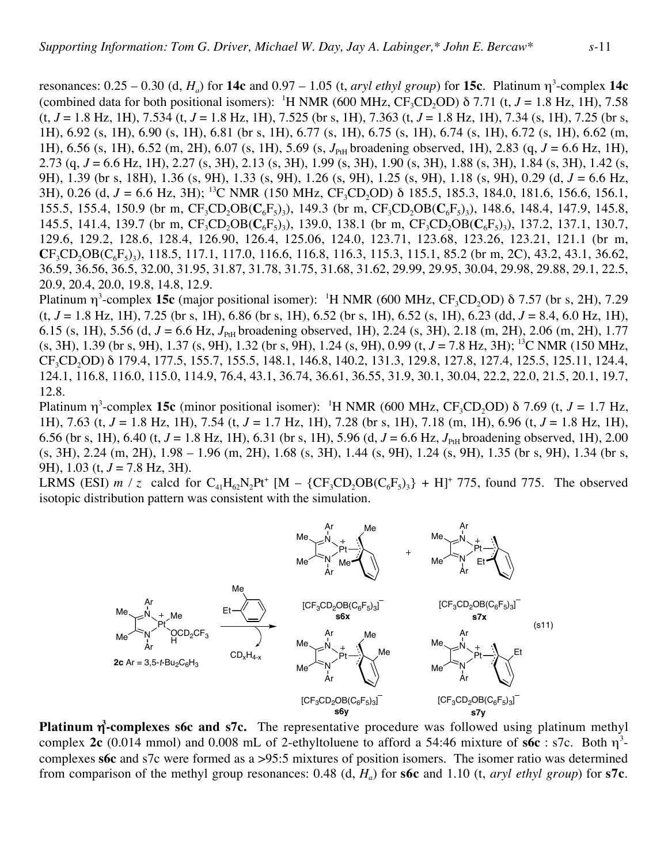resonances:  $0.25 - 0.30$  (d,  $H_a$ ) for **14c** and  $0.97 - 1.05$  (t, *aryl ethyl group*) for **15c**. Platinum  $\eta^3$ -complex **14c** (combined data for both positional isomers): <sup>1</sup>H NMR (600 MHz,  $CF_3CD_2OD$ )  $\delta$  7.71 (t, *J* = 1.8 Hz, 1H), 7.58 (t, *J* = 1.8 Hz, 1H), 7.534 (t, *J* = 1.8 Hz, 1H), 7.525 (br s, 1H), 7.363 (t, *J* = 1.8 Hz, 1H), 7.34 (s, 1H), 7.25 (br s, 1H), 6.92 (s, 1H), 6.90 (s, 1H), 6.81 (br s, 1H), 6.77 (s, 1H), 6.75 (s, 1H), 6.74 (s, 1H), 6.72 (s, 1H), 6.62 (m, 1H), 6.56 (s, 1H), 6.52 (m, 2H), 6.07 (s, 1H), 5.69 (s, *J*<sub>PH</sub> broadening observed, 1H), 2.83 (q, *J* = 6.6 Hz, 1H), 2.73 (q, *J* = 6.6 Hz, 1H), 2.27 (s, 3H), 2.13 (s, 3H), 1.99 (s, 3H), 1.90 (s, 3H), 1.88 (s, 3H), 1.84 (s, 3H), 1.42 (s, 9H), 1.39 (br s, 18H), 1.36 (s, 9H), 1.33 (s, 9H), 1.26 (s, 9H), 1.25 (s, 9H), 1.18 (s, 9H), 0.29 (d, *J* = 6.6 Hz, 3H), 0.26 (d, *J* = 6.6 Hz, 3H); <sup>13</sup>C NMR (150 MHz, CF<sub>3</sub>CD<sub>2</sub>OD) δ 185.5, 185.3, 184.0, 181.6, 156.6, 156.1, 155.5, 155.4, 150.9 (br m,  $CF_3CD_2OB(C_6F_5)$ ), 149.3 (br m,  $CF_3CD_2OB(C_6F_5)$ ), 148.6, 148.4, 147.9, 145.8, 145.5, 141.4, 139.7 (br m,  $CF_3CD_2OB(C_6F_5)$ ), 139.0, 138.1 (br m,  $CF_3CD_2OB(C_6F_5)$ ), 137.2, 137.1, 130.7, 129.6, 129.2, 128.6, 128.4, 126.90, 126.4, 125.06, 124.0, 123.71, 123.68, 123.26, 123.21, 121.1 (br m,  $CF_3CD_2OB(C_6F_5)$ ; 118.5, 117.1, 117.0, 116.6, 116.8, 116.3, 115.3, 115.1, 85.2 (br m, 2C), 43.2, 43.1, 36.62, 36.59, 36.56, 36.5, 32.00, 31.95, 31.87, 31.78, 31.75, 31.68, 31.62, 29.99, 29.95, 30.04, 29.98, 29.88, 29.1, 22.5, 20.9, 20.4, 20.0, 19.8, 14.8, 12.9.

Platinum  $\eta^3$ -complex **15c** (major positional isomer): <sup>1</sup>H NMR (600 MHz, CF<sub>3</sub>CD<sub>2</sub>OD)  $\delta$  7.57 (br s, 2H), 7.29 (t, *J* = 1.8 Hz, 1H), 7.25 (br s, 1H), 6.86 (br s, 1H), 6.52 (br s, 1H), 6.52 (s, 1H), 6.23 (dd, *J* = 8.4, 6.0 Hz, 1H), 6.15 (s, 1H), 5.56 (d,  $J = 6.6$  Hz,  $J_{PH}$  broadening observed, 1H), 2.24 (s, 3H), 2.18 (m, 2H), 2.06 (m, 2H), 1.77 (s, 3H), 1.39 (br s, 9H), 1.37 (s, 9H), 1.32 (br s, 9H), 1.24 (s, 9H), 0.99 (t, *J* = 7.8 Hz, 3H); 13C NMR (150 MHz, CF<sub>3</sub>CD<sub>2</sub>OD) δ 179.4, 177.5, 155.7, 155.5, 148.1, 146.8, 140.2, 131.3, 129.8, 127.8, 127.4, 125.5, 125.11, 124.4, 124.1, 116.8, 116.0, 115.0, 114.9, 76.4, 43.1, 36.74, 36.61, 36.55, 31.9, 30.1, 30.04, 22.2, 22.0, 21.5, 20.1, 19.7, 12.8.

Platinum  $\eta^3$ -complex **15c** (minor positional isomer): <sup>1</sup>H NMR (600 MHz, CF<sub>3</sub>CD<sub>2</sub>OD) δ 7.69 (t, *J* = 1.7 Hz, 1H), 7.63 (t, *J* = 1.8 Hz, 1H), 7.54 (t, *J* = 1.7 Hz, 1H), 7.28 (br s, 1H), 7.18 (m, 1H), 6.96 (t, *J* = 1.8 Hz, 1H), 6.56 (br s, 1H), 6.40 (t,  $J = 1.8$  Hz, 1H), 6.31 (br s, 1H), 5.96 (d,  $J = 6.6$  Hz,  $J_{PH}$  broadening observed, 1H), 2.00 (s, 3H), 2.24 (m, 2H), 1.98 – 1.96 (m, 2H), 1.68 (s, 3H), 1.44 (s, 9H), 1.24 (s, 9H), 1.35 (br s, 9H), 1.34 (br s, 9H), 1.03 (t, *J* = 7.8 Hz, 3H).

LRMS (ESI) *m* / *z* calcd for  $C_{41}H_{62}N_2Pt^+$  [M –  $\{CF_3CD_2OB(C_6F_5)_3\}$  + H]<sup>+</sup> 775, found 775. The observed isotopic distribution pattern was consistent with the simulation.



**Platinum η<sup>3</sup>-complexes s6c and s7c.** The representative procedure was followed using platinum methyl complex 2c (0.014 mmol) and 0.008 mL of 2-ethyltoluene to afford a 54:46 mixture of  $s6c : s7c$ . Both  $\eta^3$ complexes **s6c** and s7c were formed as a >95:5 mixtures of position isomers. The isomer ratio was determined from comparison of the methyl group resonances: 0.48  $(d, H_a)$  for **s6c** and 1.10  $(t, \text{aryl ethyl}$  group) for **s7c**.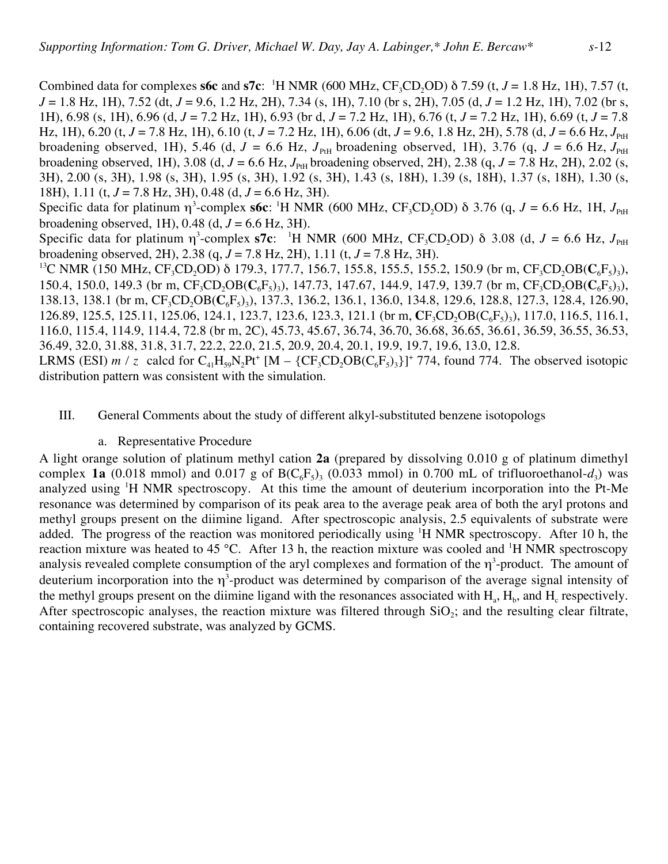Combined data for complexes **s6c** and **s7c**: <sup>1</sup>H NMR (600 MHz,  $CF_3CD_2OD$ )  $\delta$  7.59 (t, *J* = 1.8 Hz, 1H), 7.57 (t, *J* = 1.8 Hz, 1H), 7.52 (dt, *J* = 9.6, 1.2 Hz, 2H), 7.34 (s, 1H), 7.10 (br s, 2H), 7.05 (d, *J* = 1.2 Hz, 1H), 7.02 (br s, 1H), 6.98 (s, 1H), 6.96 (d, *J* = 7.2 Hz, 1H), 6.93 (br d, *J* = 7.2 Hz, 1H), 6.76 (t, *J* = 7.2 Hz, 1H), 6.69 (t, *J* = 7.8 Hz, 1H), 6.20 (t,  $J = 7.8$  Hz, 1H), 6.10 (t,  $J = 7.2$  Hz, 1H), 6.06 (dt,  $J = 9.6$ , 1.8 Hz, 2H), 5.78 (d,  $J = 6.6$  Hz,  $J_{p,H}$ broadening observed, 1H), 5.46 (d,  $J = 6.6$  Hz,  $J_{\text{PH}}$  broadening observed, 1H), 3.76 (q,  $J = 6.6$  Hz,  $J_{\text{PH}}$ broadening observed, 1H), 3.08 (d,  $J = 6.6$  Hz,  $J_{PH}$  broadening observed, 2H), 2.38 (q,  $J = 7.8$  Hz, 2H), 2.02 (s, 3H), 2.00 (s, 3H), 1.98 (s, 3H), 1.95 (s, 3H), 1.92 (s, 3H), 1.43 (s, 18H), 1.39 (s, 18H), 1.37 (s, 18H), 1.30 (s, 18H), 1.11 (t, *J* = 7.8 Hz, 3H), 0.48 (d, *J* = 6.6 Hz, 3H).

Specific data for platinum  $\eta^3$ -complex **s6c**: <sup>1</sup>H NMR (600 MHz, CF<sub>3</sub>CD<sub>2</sub>OD) δ 3.76 (q, *J* = 6.6 Hz, 1H, *J*<sub>PtH</sub> broadening observed, 1H),  $0.48$  (d,  $J = 6.6$  Hz, 3H).

Specific data for platinum  $\eta^3$ -complex **s7c**: <sup>1</sup>H NMR (600 MHz, CF<sub>3</sub>CD<sub>2</sub>OD) δ 3.08 (d, *J* = 6.6 Hz, *J*<sub>PtH</sub> broadening observed, 2H), 2.38 (q, *J* = 7.8 Hz, 2H), 1.11 (t, *J* = 7.8 Hz, 3H).

<sup>13</sup>C NMR (150 MHz, CF<sub>3</sub>CD<sub>2</sub>OD) δ 179.3, 177.7, 156.7, 155.8, 155.5, 155.2, 150.9 (br m, CF<sub>3</sub>CD<sub>2</sub>OB(C<sub>6</sub>F<sub>5</sub>)<sub>3</sub>), 150.4, 150.0, 149.3 (br m,  $CF_3CD_2OB(C_6F_5)$ ), 147.73, 147.67, 144.9, 147.9, 139.7 (br m,  $CF_3CD_2OB(C_6F_5)$ ), 138.13, 138.1 (br m, CF<sub>3</sub>CD<sub>2</sub>OB(C<sub>6</sub>F<sub>5</sub>)<sub>3</sub>), 137.3, 136.2, 136.1, 136.0, 134.8, 129.6, 128.8, 127.3, 128.4, 126.90, 126.89, 125.5, 125.11, 125.06, 124.1, 123.7, 123.6, 123.3, 121.1 (br m, **C**F<sub>3</sub>CD<sub>2</sub>OB(C<sub>6</sub>F<sub>5</sub>)<sub>3</sub>), 117.0, 116.5, 116.1, 116.0, 115.4, 114.9, 114.4, 72.8 (br m, 2C), 45.73, 45.67, 36.74, 36.70, 36.68, 36.65, 36.61, 36.59, 36.55, 36.53, 36.49, 32.0, 31.88, 31.8, 31.7, 22.2, 22.0, 21.5, 20.9, 20.4, 20.1, 19.9, 19.7, 19.6, 13.0, 12.8.

LRMS (ESI) *m* / *z* calcd for  $C_{41}H_{50}N_{2}Pt^{+}$  [M – {CF<sub>3</sub>CD<sub>2</sub>OB( $C_{6}F_{5}$ )<sub>3</sub>}]<sup>+</sup> 774, found 774. The observed isotopic distribution pattern was consistent with the simulation.

## III. General Comments about the study of different alkyl-substituted benzene isotopologs

## a. Representative Procedure

A light orange solution of platinum methyl cation **2a** (prepared by dissolving 0.010 g of platinum dimethyl complex **1a** (0.018 mmol) and 0.017 g of  $B(C_6F_5)$ <sub>3</sub> (0.033 mmol) in 0.700 mL of trifluoroethanol- $d_3$ ) was analyzed using <sup>1</sup>H NMR spectroscopy. At this time the amount of deuterium incorporation into the Pt-Me resonance was determined by comparison of its peak area to the average peak area of both the aryl protons and methyl groups present on the diimine ligand. After spectroscopic analysis, 2.5 equivalents of substrate were added. The progress of the reaction was monitored periodically using <sup>1</sup>H NMR spectroscopy. After 10 h, the reaction mixture was heated to 45 °C. After 13 h, the reaction mixture was cooled and <sup>1</sup>H NMR spectroscopy analysis revealed complete consumption of the aryl complexes and formation of the  $\eta^3$ -product. The amount of deuterium incorporation into the  $\eta^3$ -product was determined by comparison of the average signal intensity of the methyl groups present on the diimine ligand with the resonances associated with  $H_a$ ,  $H_b$ , and  $H_c$  respectively. After spectroscopic analyses, the reaction mixture was filtered through  $SiO<sub>2</sub>$ ; and the resulting clear filtrate, containing recovered substrate, was analyzed by GCMS.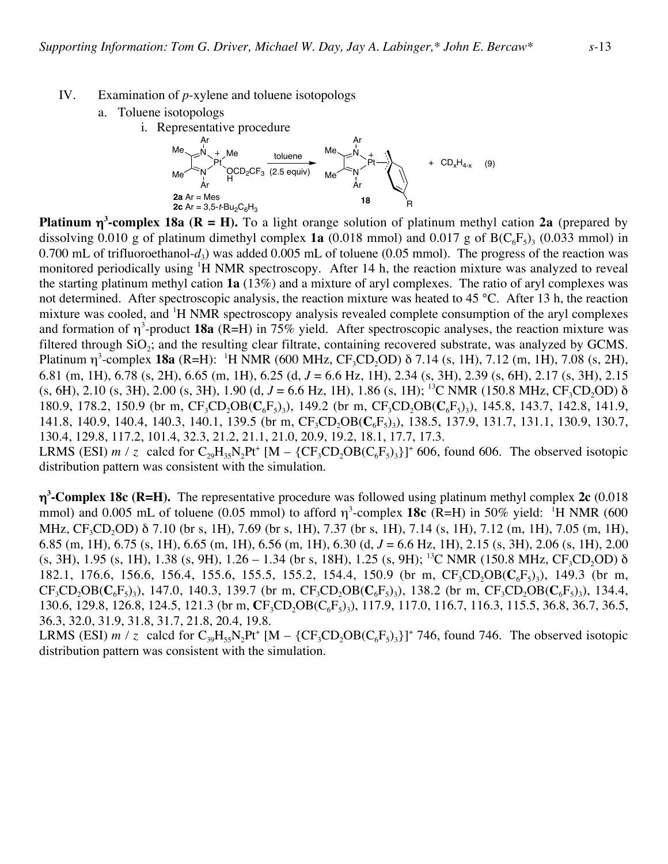- IV. Examination of *p*-xylene and toluene isotopologs
	- a. Toluene isotopologs
		- i. Representative procedure



**Platinum** η**<sup>3</sup> -complex 18a (R = H).** To a light orange solution of platinum methyl cation **2a** (prepared by dissolving 0.010 g of platinum dimethyl complex **1a** (0.018 mmol) and 0.017 g of  $B(C_6F_5)$ <sub>3</sub> (0.033 mmol) in 0.700 mL of trifluoroethanol- $d_3$ ) was added 0.005 mL of toluene (0.05 mmol). The progress of the reaction was monitored periodically using <sup>1</sup>H NMR spectroscopy. After 14 h, the reaction mixture was analyzed to reveal the starting platinum methyl cation **1a** (13%) and a mixture of aryl complexes. The ratio of aryl complexes was not determined. After spectroscopic analysis, the reaction mixture was heated to 45 °C. After 13 h, the reaction mixture was cooled, and <sup>1</sup>H NMR spectroscopy analysis revealed complete consumption of the aryl complexes and formation of η<sup>3</sup>-product **18a** (R=H) in 75% yield. After spectroscopic analyses, the reaction mixture was filtered through  $SiO<sub>2</sub>$ ; and the resulting clear filtrate, containing recovered substrate, was analyzed by GCMS. Platinum  $\eta^3$ -complex **18a** (R=H): <sup>1</sup>H NMR (600 MHz, CF<sub>3</sub>CD<sub>2</sub>OD) δ 7.14 (s, 1H), 7.12 (m, 1H), 7.08 (s, 2H), 6.81 (m, 1H), 6.78 (s, 2H), 6.65 (m, 1H), 6.25 (d, *J* = 6.6 Hz, 1H), 2.34 (s, 3H), 2.39 (s, 6H), 2.17 (s, 3H), 2.15 (s, 6H), 2.10 (s, 3H), 2.00 (s, 3H), 1.90 (d,  $J = 6.6$  Hz, 1H), 1.86 (s, 1H); <sup>13</sup>C NMR (150.8 MHz, CF<sub>3</sub>CD<sub>2</sub>OD)  $\delta$ 180.9, 178.2, 150.9 (br m,  $CF_3CD_2OB(C_6F_5)$ ), 149.2 (br m,  $CF_3CD_2OB(C_6F_5)$ ), 145.8, 143.7, 142.8, 141.9, 141.8, 140.9, 140.4, 140.3, 140.1, 139.5 (br m, CF<sub>3</sub>CD<sub>2</sub>OB(C<sub>6</sub>F<sub>5</sub>)<sub>3</sub>), 138.5, 137.9, 131.7, 131.1, 130.9, 130.7, 130.4, 129.8, 117.2, 101.4, 32.3, 21.2, 21.1, 21.0, 20.9, 19.2, 18.1, 17.7, 17.3. LRMS (ESI)  $m / z$  calcd for  $C_{29}H_{35}N_2Pt^+$  [M – {CF<sub>3</sub>CD<sub>2</sub>OB(C<sub>6</sub>F<sub>5</sub>)<sub>3</sub>}]<sup>+</sup> 606, found 606. The observed isotopic distribution pattern was consistent with the simulation.

η**3 -Complex 18c (R=H).** The representative procedure was followed using platinum methyl complex **2c** (0.018 mmol) and 0.005 mL of toluene (0.05 mmol) to afford  $\eta^3$ -complex **18c** (R=H) in 50% yield: <sup>1</sup>H NMR (600 MHz, CF<sub>3</sub>CD<sub>2</sub>OD) δ 7.10 (br s, 1H), 7.69 (br s, 1H), 7.37 (br s, 1H), 7.14 (s, 1H), 7.12 (m, 1H), 7.05 (m, 1H), 6.85 (m, 1H), 6.75 (s, 1H), 6.65 (m, 1H), 6.56 (m, 1H), 6.30 (d, *J* = 6.6 Hz, 1H), 2.15 (s, 3H), 2.06 (s, 1H), 2.00 (s, 3H), 1.95 (s, 1H), 1.38 (s, 9H), 1.26 – 1.34 (br s, 18H), 1.25 (s, 9H); <sup>13</sup>C NMR (150.8 MHz, CF<sub>3</sub>CD<sub>2</sub>OD)  $\delta$ 182.1, 176.6, 156.6, 156.4, 155.6, 155.5, 155.2, 154.4, 150.9 (br m, CF<sub>3</sub>CD<sub>2</sub>OB(C<sub>6</sub>F<sub>5</sub>)<sub>3</sub>), 149.3 (br m,  $CF_3CD_2OB(C_6F_5)$ , 147.0, 140.3, 139.7 (br m,  $CF_3CD_2OB(C_6F_5)$ ), 138.2 (br m,  $CF_3CD_2OB(C_6F_5)$ ), 134.4, 130.6, 129.8, 126.8, 124.5, 121.3 (br m,  $CF_3CD_2OB(C_6F_5)$ ), 117.9, 117.0, 116.7, 116.3, 115.5, 36.8, 36.7, 36.5, 36.3, 32.0, 31.9, 31.8, 31.7, 21.8, 20.4, 19.8.

LRMS (ESI)  $m / z$  calcd for  $C_{39}H_{55}N_2Pt^+$  [M – {CF<sub>3</sub>CD<sub>2</sub>OB(C<sub>6</sub>F<sub>5</sub>)<sub>3</sub>}]<sup>+</sup> 746, found 746. The observed isotopic distribution pattern was consistent with the simulation.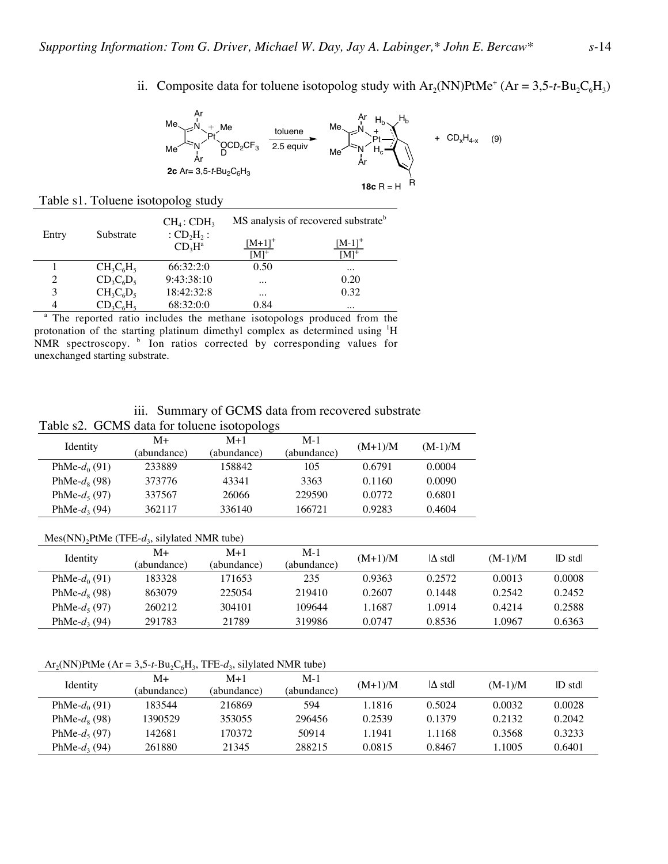ii. Composite data for toluene isotopolog study with  $Ar_2(NN)PtMe^+$  ( $Ar = 3,5-t-Bu_2C_6H_3$ )



#### Table s1. Toluene isotopolog study

| Entry | Substrate    | $CH_4$ : CDH <sub>3</sub>                              | MS analysis of recovered substrate <sup>b</sup> |                        |  |
|-------|--------------|--------------------------------------------------------|-------------------------------------------------|------------------------|--|
|       |              | :CD,H <sub>2</sub> :<br>CD <sub>3</sub> H <sup>a</sup> | $[M+1]^+$<br>$\mathbf{M} \mathbf{l}^+$          | $[M-1]^+$<br>$[M]^{+}$ |  |
|       | $CH_3C_6H_5$ | 66:32:2:0                                              | 0.50                                            | $\cdots$               |  |
| 2     | $CD_3C_6D_5$ | 9:43:38:10                                             | $\cdots$                                        | 0.20                   |  |
| 3     | $CH_3C_6D_5$ | 18:42:32:8                                             | $\cdots$                                        | 0.32                   |  |
| 4     | $CD_3C_6H_5$ | 68:32:0:0                                              | 0.84                                            | $\cdots$               |  |

<sup>a</sup> The reported ratio includes the methane isotopologs produced from the protonation of the starting platinum dimethyl complex as determined using <sup>1</sup>H NMR spectroscopy. <sup>b</sup> Ion ratios corrected by corresponding values for unexchanged starting substrate.

### iii. Summary of GCMS data from recovered substrate

### Table s2. GCMS data for toluene isotopologs

| Identity               | $M+$        | $M+1$       | $M-1$       | $(M+1)/M$ | $(M-1)/M$ |
|------------------------|-------------|-------------|-------------|-----------|-----------|
|                        | (abundance) | (abundance) | (abundance) |           |           |
| PhMe- $d_0(91)$        | 233889      | 158842      | 105         | 0.6791    | 0.0004    |
| PhMe- $d_{\rm s}$ (98) | 373776      | 43341       | 3363        | 0.1160    | 0.0090    |
| PhMe- $d_5(97)$        | 337567      | 26066       | 229590      | 0.0772    | 0.6801    |
| PhMe- $d_3(94)$        | 362117      | 336140      | 166721      | 0.9283    | 0.4604    |

#### Mes(NN)<sub>2</sub>PtMe (TFE-d<sub>3</sub>, silylated NMR tube)

| Identity         | M+          | $M+1$       | $M-1$       | $(M+1)/M$ | $ \Delta \text{ std} $ | $(M-1)/M$ | D stdl |
|------------------|-------------|-------------|-------------|-----------|------------------------|-----------|--------|
|                  | (abundance) | (abundance) | (abundance) |           |                        |           |        |
| PhMe- $d_0(91)$  | 183328      | 171653      | 235         | 0.9363    | 0.2572                 | 0.0013    | 0.0008 |
| PhMe- $d_8$ (98) | 863079      | 225054      | 219410      | 0.2607    | 0.1448                 | 0.2542    | 0.2452 |
| PhMe- $d_5(97)$  | 260212      | 304101      | 109644      | .1687     | 1.0914                 | 0.4214    | 0.2588 |
| PhMe- $d_3(94)$  | 291783      | 21789       | 319986      | 0.0747    | 0.8536                 | 1.0967    | 0.6363 |

#### $Ar_2(NN)PtMe$  (Ar = 3,5-t-Bu<sub>2</sub>C<sub>6</sub>H<sub>3</sub>, TFE-d<sub>3</sub>, silylated NMR tube)

|                  | M+          | $M+1$       | $M-1$       | $(M+1)/M$ | $\Delta$ std | $(M-1)/M$ | D stdl |
|------------------|-------------|-------------|-------------|-----------|--------------|-----------|--------|
| Identity         | (abundance) | (abundance) | (abundance) |           |              |           |        |
| PhMe- $d_0(91)$  | 183544      | 216869      | 594         | 1.1816    | 0.5024       | 0.0032    | 0.0028 |
| PhMe- $d_8$ (98) | 1390529     | 353055      | 296456      | 0.2539    | 0.1379       | 0.2132    | 0.2042 |
| PhMe- $d_5(97)$  | 142681      | 170372      | 50914       | 1.1941    | 1.1168       | 0.3568    | 0.3233 |
| PhMe- $d_3(94)$  | 261880      | 21345       | 288215      | 0.0815    | 0.8467       | 1.1005    | 0.6401 |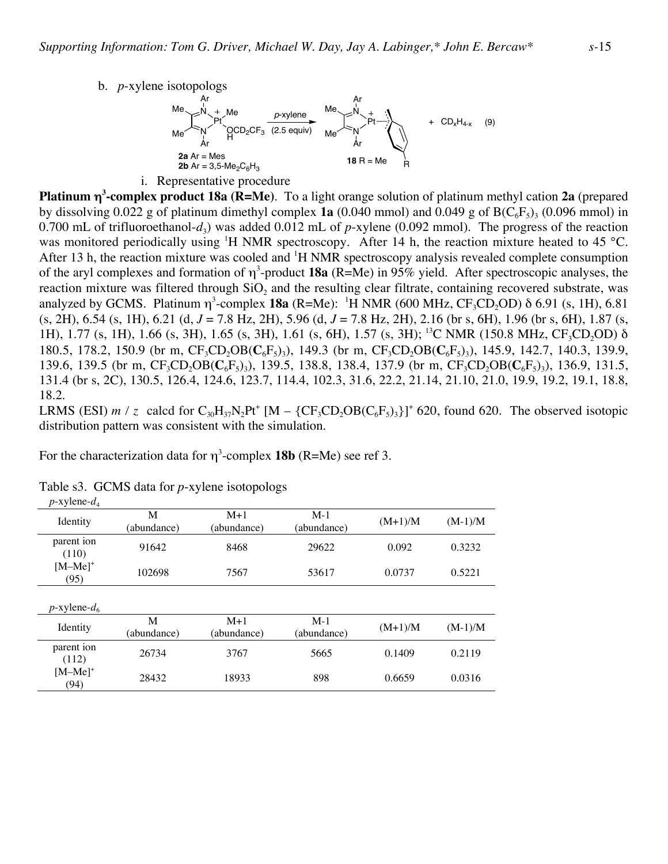b. *p*-xylene isotopologs



**Platinum** η**<sup>3</sup> -complex product 18a (R=Me)**. To a light orange solution of platinum methyl cation **2a** (prepared by dissolving 0.022 g of platinum dimethyl complex **1a** (0.040 mmol) and 0.049 g of  $B(C_6F_5)$ <sub>3</sub> (0.096 mmol) in 0.700 mL of trifluoroethanol- $d_3$ ) was added 0.012 mL of *p*-xylene (0.092 mmol). The progress of the reaction was monitored periodically using <sup>1</sup>H NMR spectroscopy. After 14 h, the reaction mixture heated to 45 °C. After 13 h, the reaction mixture was cooled and <sup>1</sup>H NMR spectroscopy analysis revealed complete consumption of the aryl complexes and formation of η<sup>3</sup> -product **18a** (R=Me) in 95% yield. After spectroscopic analyses, the reaction mixture was filtered through SiO<sub>2</sub> and the resulting clear filtrate, containing recovered substrate, was analyzed by GCMS. Platinum  $\eta^3$ -complex **18a** (R=Me): <sup>1</sup>H NMR (600 MHz, CF<sub>3</sub>CD<sub>2</sub>OD)  $\delta$  6.91 (s, 1H), 6.81 (s, 2H), 6.54 (s, 1H), 6.21 (d, *J* = 7.8 Hz, 2H), 5.96 (d, *J* = 7.8 Hz, 2H), 2.16 (br s, 6H), 1.96 (br s, 6H), 1.87 (s, 1H), 1.77 (s, 1H), 1.66 (s, 3H), 1.65 (s, 3H), 1.61 (s, 6H), 1.57 (s, 3H); <sup>13</sup>C NMR (150.8 MHz, CF<sub>3</sub>CD<sub>2</sub>OD) δ 180.5, 178.2, 150.9 (br m, CF<sub>3</sub>CD<sub>2</sub>OB( $C_6F_5$ )<sub>3</sub>), 149.3 (br m, CF<sub>3</sub>CD<sub>2</sub>OB( $C_6F_5$ )<sub>3</sub>), 145.9, 142.7, 140.3, 139.9, 139.6, 139.5 (br m, CF<sub>3</sub>CD<sub>2</sub>OB(C<sub>6</sub>F<sub>5</sub>)<sub>3</sub>), 139.5, 138.8, 138.4, 137.9 (br m, CF<sub>3</sub>CD<sub>2</sub>OB(C<sub>6</sub>F<sub>5</sub>)<sub>3</sub>), 136.9, 131.5, 131.4 (br s, 2C), 130.5, 126.4, 124.6, 123.7, 114.4, 102.3, 31.6, 22.2, 21.14, 21.10, 21.0, 19.9, 19.2, 19.1, 18.8, 18.2.

LRMS (ESI)  $m / z$  calcd for  $C_{30}H_{37}N_2Pt^+$  [M – {CF<sub>3</sub>CD<sub>2</sub>OB(C<sub>6</sub>F<sub>5</sub>)<sub>3</sub>}]<sup>+</sup> 620, found 620. The observed isotopic distribution pattern was consistent with the simulation.

For the characterization data for  $\eta^3$ -complex **18b** (R=Me) see ref 3.

| Identity            | M<br>(abundance) | $M+1$<br>(abundance) | $M-1$<br>(abundance) | $(M+1)/M$ | $(M-1)/M$ |
|---------------------|------------------|----------------------|----------------------|-----------|-----------|
| parent ion<br>(110) | 91642            | 8468                 | 29622                | 0.092     | 0.3232    |
| $[M-Me]^+$<br>(95)  | 102698           | 7567                 | 53617                | 0.0737    | 0.5221    |
| $p$ -xylene- $d_6$  |                  |                      |                      |           |           |
| Identity            | M<br>(abundance) | $M+1$<br>(abundance) | $M-1$<br>(abundance) | $(M+1)/M$ | $(M-1)/M$ |
| parent ion<br>(112) | 26734            | 3767                 | 5665                 | 0.1409    | 0.2119    |
| $[M-Me]^+$<br>(94)  | 28432            | 18933                | 898                  | 0.6659    | 0.0316    |

Table s3. GCMS data for *p*-xylene isotopologs

 $p$ -xylene- $d_4$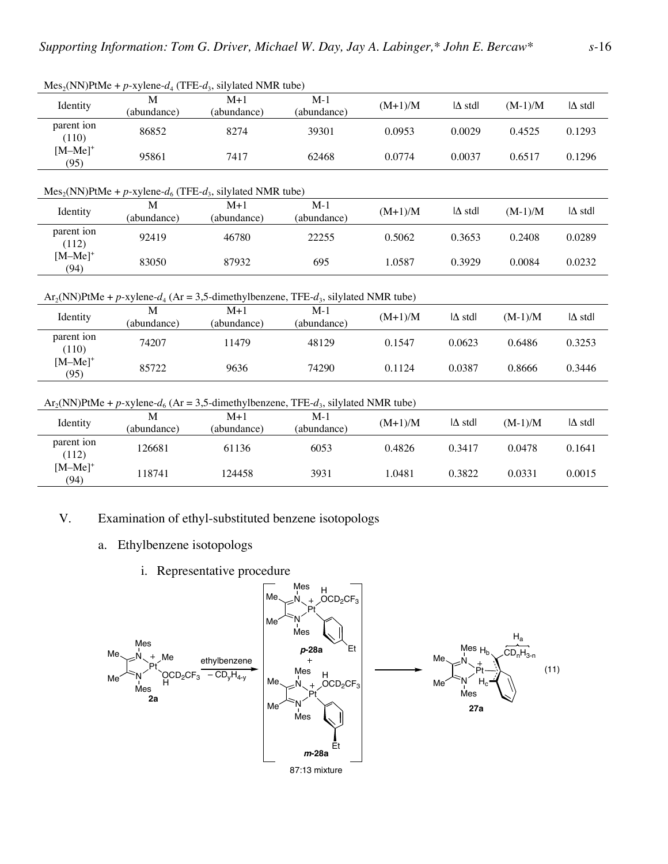|                     |                                                            | $Mes2(NN) PtMe + p-xylene-d4 (TFE-d3, silylated NMR tube)$                                    |                      |           |                        |           |                        |  |  |  |  |
|---------------------|------------------------------------------------------------|-----------------------------------------------------------------------------------------------|----------------------|-----------|------------------------|-----------|------------------------|--|--|--|--|
| Identity            | М<br>(abundance)                                           | $M+1$<br>(abundance)                                                                          | $M-1$<br>(abundance) | $(M+1)/M$ | $ \Delta \text{ std} $ | $(M-1)/M$ | $\Delta$ stdl          |  |  |  |  |
| parent ion<br>(110) | 86852                                                      | 8274                                                                                          | 39301                | 0.0953    | 0.0029                 | 0.4525    | 0.1293                 |  |  |  |  |
| $[M-Me]^+$<br>(95)  | 95861                                                      | 7417                                                                                          | 62468                | 0.0774    | 0.0037                 | 0.6517    | 0.1296                 |  |  |  |  |
|                     | $Mes2(NN) PtMe + p-xylene-d6 (TFE-d3, silylated NMR tube)$ |                                                                                               |                      |           |                        |           |                        |  |  |  |  |
| Identity            | M<br>(abundance)                                           | $M+1$<br>(abundance)                                                                          | $M-1$<br>(abundance) | $(M+1)/M$ | $ \Delta \text{ std} $ | $(M-1)/M$ | $ \Delta \text{ std} $ |  |  |  |  |
| parent ion<br>(112) | 92419                                                      | 46780                                                                                         | 22255                | 0.5062    | 0.3653                 | 0.2408    | 0.0289                 |  |  |  |  |
| $[M-Me]^+$<br>(94)  | 83050                                                      | 87932                                                                                         | 695                  | 1.0587    | 0.3929                 | 0.0084    | 0.0232                 |  |  |  |  |
|                     |                                                            | $Ar_2(NN)$ PtMe + p-xylene- $d_4$ (Ar = 3,5-dimethylbenzene, TFE- $d_3$ , silylated NMR tube) |                      |           |                        |           |                        |  |  |  |  |
| Identity            | M<br>(abundance)                                           | $M+1$<br>(abundance)                                                                          | $M-1$<br>(abundance) | $(M+1)/M$ | $ \Delta \text{ std} $ | $(M-1)/M$ | $ \Delta \text{ std} $ |  |  |  |  |
| parent ion<br>(110) | 74207                                                      | 11479                                                                                         | 48129                | 0.1547    | 0.0623                 | 0.6486    | 0.3253                 |  |  |  |  |
| $[M-Me]^+$<br>(95)  | 85722                                                      | 9636                                                                                          | 74290                | 0.1124    | 0.0387                 | 0.8666    | 0.3446                 |  |  |  |  |
|                     |                                                            | $Ar_2(NN)$ PtMe + p-xylene- $d_6$ (Ar = 3,5-dimethylbenzene, TFE- $d_3$ , silylated NMR tube) |                      |           |                        |           |                        |  |  |  |  |
| Identity            | M<br>(abundance)                                           | $M+1$<br>(abundance)                                                                          | $M-1$<br>(abundance) | $(M+1)/M$ | $ \Delta \text{ std} $ | $(M-1)/M$ | $ \Delta \text{ std} $ |  |  |  |  |
| parent ion<br>(112) | 126681                                                     | 61136                                                                                         | 6053                 | 0.4826    | 0.3417                 | 0.0478    | 0.1641                 |  |  |  |  |
| $[M-Me]^+$<br>(94)  | 118741                                                     | 124458                                                                                        | 3931                 | 1.0481    | 0.3822                 | 0.0331    | 0.0015                 |  |  |  |  |
|                     |                                                            |                                                                                               |                      |           |                        |           |                        |  |  |  |  |

- V. Examination of ethyl-substituted benzene isotopologs
	- a. Ethylbenzene isotopologs
		- i. Representative procedure

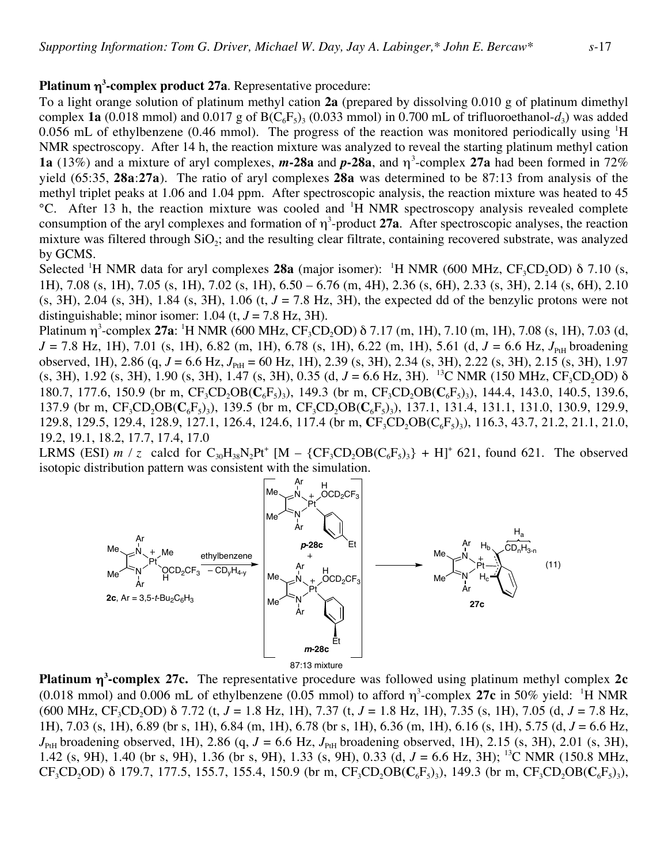## **Platinum** η**<sup>3</sup> -complex product 27a**. Representative procedure:

To a light orange solution of platinum methyl cation **2a** (prepared by dissolving 0.010 g of platinum dimethyl complex **1a** (0.018 mmol) and 0.017 g of  $B(C_6F_5)$ <sub>3</sub> (0.033 mmol) in 0.700 mL of trifluoroethanol- $d_3$ ) was added 0.056 mL of ethylbenzene (0.46 mmol). The progress of the reaction was monitored periodically using  $H$ NMR spectroscopy. After 14 h, the reaction mixture was analyzed to reveal the starting platinum methyl cation **1a** (13%) and a mixture of aryl complexes, **m-28a** and **p-28a**, and  $η^3$ -complex **27a** had been formed in 72% yield (65:35, **28a**:**27a**). The ratio of aryl complexes **28a** was determined to be 87:13 from analysis of the methyl triplet peaks at 1.06 and 1.04 ppm. After spectroscopic analysis, the reaction mixture was heated to 45 <sup>o</sup>C. After 13 h, the reaction mixture was cooled and <sup>1</sup>H NMR spectroscopy analysis revealed complete consumption of the aryl complexes and formation of  $\eta^3$ -product 27a. After spectroscopic analyses, the reaction mixture was filtered through  $SiO<sub>2</sub>$ ; and the resulting clear filtrate, containing recovered substrate, was analyzed by GCMS.

Selected <sup>1</sup>H NMR data for aryl complexes **28a** (major isomer): <sup>1</sup>H NMR (600 MHz,  $CF_3CD_2OD$ ) δ 7.10 (s, 1H), 7.08 (s, 1H), 7.05 (s, 1H), 7.02 (s, 1H), 6.50 – 6.76 (m, 4H), 2.36 (s, 6H), 2.33 (s, 3H), 2.14 (s, 6H), 2.10  $(s, 3H)$ , 2.04  $(s, 3H)$ , 1.84  $(s, 3H)$ , 1.06  $(t, J = 7.8 \text{ Hz}, 3H)$ , the expected dd of the benzylic protons were not distinguishable; minor isomer:  $1.04$  (t,  $J = 7.8$  Hz, 3H).

Platinum η<sup>3</sup>-complex **27a**: <sup>1</sup>H NMR (600 MHz, CF<sub>3</sub>CD<sub>2</sub>OD) δ 7.17 (m, 1H), 7.10 (m, 1H), 7.08 (s, 1H), 7.03 (d,  $J = 7.8$  Hz, 1H), 7.01 (s, 1H), 6.82 (m, 1H), 6.78 (s, 1H), 6.22 (m, 1H), 5.61 (d,  $J = 6.6$  Hz,  $J_{PH}$  broadening observed, 1H), 2.86 (q, *J* = 6.6 Hz, *J*<sub>PtH</sub> = 60 Hz, 1H), 2.39 (s, 3H), 2.34 (s, 3H), 2.22 (s, 3H), 2.15 (s, 3H), 1.97 (s, 3H), 1.92 (s, 3H), 1.90 (s, 3H), 1.47 (s, 3H), 0.35 (d,  $J = 6.6$  Hz, 3H). <sup>13</sup>C NMR (150 MHz, CF<sub>3</sub>CD<sub>2</sub>OD)  $\delta$ 180.7, 177.6, 150.9 (br m, CF<sub>3</sub>CD<sub>2</sub>OB( $C_6F_5$ )<sub>3</sub>), 149.3 (br m, CF<sub>3</sub>CD<sub>2</sub>OB( $C_6F_5$ )<sub>3</sub>), 144.4, 143.0, 140.5, 139.6, 137.9 (br m, CF<sub>3</sub>CD<sub>2</sub>OB(C<sub>6</sub>F<sub>5</sub>)<sub>3</sub>), 139.5 (br m, CF<sub>3</sub>CD<sub>2</sub>OB(C<sub>6</sub>F<sub>5</sub>)<sub>3</sub>), 137.1, 131.4, 131.1, 131.0, 130.9, 129.9, 129.8, 129.5, 129.4, 128.9, 127.1, 126.4, 124.6, 117.4 (br m,  $CF_3CD_2OB(C_6F_5)_3$ ), 116.3, 43.7, 21.2, 21.1, 21.0, 19.2, 19.1, 18.2, 17.7, 17.4, 17.0

LRMS (ESI)  $m / z$  calcd for  $C_{30}H_{38}N_2Pt^+$  [M –  $\{CF_3CD_2OB(C_6F_5)_3\}$  + H]<sup>+</sup> 621, found 621. The observed isotopic distribution pattern was consistent with the simulation.



**Platinum** η**<sup>3</sup> -complex 27c.** The representative procedure was followed using platinum methyl complex **2c** (0.018 mmol) and 0.006 mL of ethylbenzene (0.05 mmol) to afford  $\eta^3$ -complex 27c in 50% yield: <sup>1</sup>H NMR (600 MHz, CF<sub>3</sub>CD<sub>2</sub>OD) δ 7.72 (t,  $J = 1.8$  Hz, 1H), 7.37 (t,  $J = 1.8$  Hz, 1H), 7.35 (s, 1H), 7.05 (d,  $J = 7.8$  Hz, 1H), 7.03 (s, 1H), 6.89 (br s, 1H), 6.84 (m, 1H), 6.78 (br s, 1H), 6.36 (m, 1H), 6.16 (s, 1H), 5.75 (d, *J* = 6.6 Hz,  $J_{\text{PH}}$  broadening observed, 1H), 2.86 (q,  $J = 6.6$  Hz,  $J_{\text{PH}}$  broadening observed, 1H), 2.15 (s, 3H), 2.01 (s, 3H), 1.42 (s, 9H), 1.40 (br s, 9H), 1.36 (br s, 9H), 1.33 (s, 9H), 0.33 (d, *J* = 6.6 Hz, 3H); 13C NMR (150.8 MHz,  $CF_3CD_2OD$ ) δ 179.7, 177.5, 155.7, 155.4, 150.9 (br m,  $CF_3CD_2OB(C_6F_5)$ ), 149.3 (br m,  $CF_3CD_2OB(C_6F_5)$ ),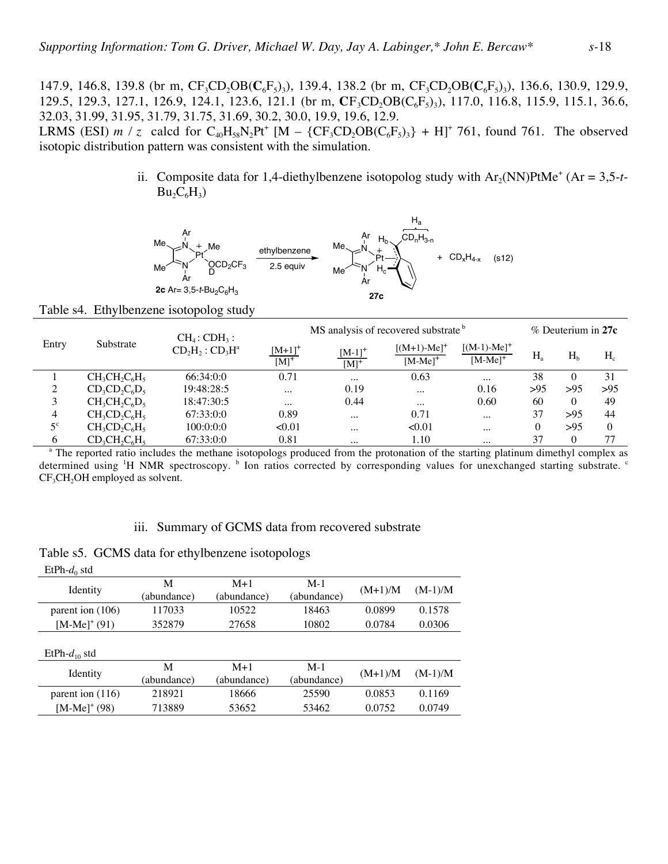147.9, 146.8, 139.8 (br m,  $CF_3CD_2OB(C_6F_5)$ ), 139.4, 138.2 (br m,  $CF_3CD_2OB(C_6F_5)$ ), 136.6, 130.9, 129.9, 129.5, 129.3, 127.1, 126.9, 124.1, 123.6, 121.1 (br m, **C**F<sub>3</sub>CD<sub>2</sub>OB(C<sub>6</sub>F<sub>5</sub>)<sub>3</sub>), 117.0, 116.8, 115.9, 115.1, 36.6, 32.03, 31.99, 31.95, 31.79, 31.75, 31.69, 30.2, 30.0, 19.9, 19.6, 12.9.

LRMS (ESI)  $m / z$  calcd for  $C_{40}H_{58}N_2Pt^+$  [M –  $\{CF_3CD_2OB(C_6F_5)_3\}$  + H]<sup>+</sup> 761, found 761. The observed isotopic distribution pattern was consistent with the simulation.

> ii. Composite data for 1,4-diethylbenzene isotopolog study with  $Ar_2(NN)PtMe^+$  (Ar = 3,5-t- $Bu_2C_6H_3)$



Table s4. Ethylbenzene isotopolog study

| Entry       |                  | $CH_4$ : CDH <sub>3</sub> : |                                   | MS analysis of recovered substrate <sup>b</sup> |                                |                             |         | $%$ Deuterium in 27 $c$ |          |  |
|-------------|------------------|-----------------------------|-----------------------------------|-------------------------------------------------|--------------------------------|-----------------------------|---------|-------------------------|----------|--|
|             | Substrate        | $CD_2H_2:CD_3H^a$           | $[M+1]^{+}$<br>$[M]$ <sup>+</sup> | $[M-1]^{+}$<br>$[M]$ <sup>+</sup>               | $[(M+1)-Me]^{+}$<br>$[M-Me]^+$ | $[(M-1)-Me]+$<br>$[M-Me]^+$ | $H_{a}$ | H <sub>b</sub>          | $H_c$    |  |
|             | $CH_3CH_2C_6H_5$ | 66:34:0:0                   | 0.71                              | $\cdots$                                        | 0.63                           | $\cdots$                    | 38      | 0                       | 31       |  |
| 2           | $CD_3CD_2C_6D_5$ | 19:48:28:5                  | $\cdots$                          | 0.19                                            | $\cdots$                       | 0.16                        | >95     | >95                     | >95      |  |
| 3           | $CH_3CH_2C_6D_5$ | 18:47:30:5                  | $\cdots$                          | 0.44                                            | $\cdots$                       | 0.60                        | 60      | 0                       | 49       |  |
| 4           | $CH_3CD_2C_6H_5$ | 67:33:0:0                   | 0.89                              | $\cdots$                                        | 0.71                           | $\cdots$                    | 37      | >95                     | 44       |  |
| $5^{\circ}$ | $CH_3CD_2C_6H_5$ | 100:0:0:0                   | < 0.01                            | $\cdots$                                        | < 0.01                         | $\cdots$                    | 0       | >95                     | $\Omega$ |  |
| 6           | $CD_3CH_2C_6H_5$ | 67:33:0:0                   | 0.81                              | $\cdots$                                        | 1.10                           | $\cdots$                    | 37      | $\theta$                | 77       |  |

<sup>a</sup> The reported ratio includes the methane isotopologs produced from the protonation of the starting platinum dimethyl complex as determined using <sup>1</sup>H NMR spectroscopy. <sup>b</sup> Ion ratios corrected by corresponding values for unexchanged starting substrate. <sup>c</sup>  $CF<sub>3</sub>CH<sub>2</sub>OH$  employed as solvent.

### iii. Summary of GCMS data from recovered substrate

|  | Table s5. GCMS data for ethylbenzene isotopologs |  |
|--|--------------------------------------------------|--|
|  |                                                  |  |

| $EtPh-d0$ std      |             |             |             |           |           |  |
|--------------------|-------------|-------------|-------------|-----------|-----------|--|
| Identity           | M           | $M+1$       | $M-1$       | $(M+1)/M$ | $(M-1)/M$ |  |
|                    | (abundance) | (abundance) | (abundance) |           |           |  |
| parent ion $(106)$ | 117033      | 10522       | 18463       | 0.0899    | 0.1578    |  |
| $[MA-Me]^+(91)$    | 352879      | 27658       | 10802       | 0.0784    | 0.0306    |  |
|                    |             |             |             |           |           |  |
| $EtPh-d_{10}$ std  |             |             |             |           |           |  |
|                    | M           | $M+1$       | $M-1$       | $(M+1)/M$ | $(M-1)/M$ |  |
| Identity           | (abundance) | (abundance) | (abundance) |           |           |  |
| parent ion $(116)$ | 218921      | 18666       | 25590       | 0.0853    | 0.1169    |  |
| $[M-Me]^+(98)$     | 713889      | 53652       | 53462       | 0.0752    | 0.0749    |  |
|                    |             |             |             |           |           |  |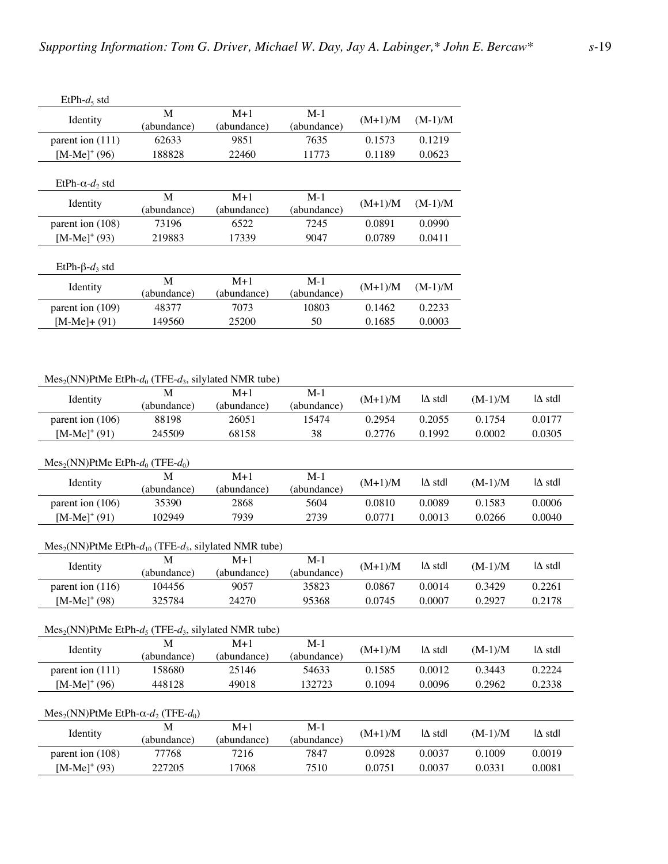| $EtPh-d5$ std            |                  |                      |                      |           |           |
|--------------------------|------------------|----------------------|----------------------|-----------|-----------|
| Identity                 | M<br>(abundance) | $M+1$<br>(abundance) | $M-1$<br>(abundance) | $(M+1)/M$ | $(M-1)/M$ |
| parent ion (111)         | 62633            | 9851                 | 7635                 | 0.1573    | 0.1219    |
| [M-Me] <sup>+</sup> (96) | 188828           | 22460                | 11773                | 0.1189    | 0.0623    |
| $EtPh-\alpha-d$ , std    |                  |                      |                      |           |           |
| Identity                 | M<br>(abundance) | $M+1$<br>(abundance) | $M-1$<br>(abundance) | $(M+1)/M$ | $(M-1)/M$ |
| parent ion (108)         | 73196            | 6522                 | 7245                 | 0.0891    | 0.0990    |
| $[MA-Me]^+(93)$          | 219883           | 17339                | 9047                 | 0.0789    | 0.0411    |
| $EtPh-\beta-d3 std$      |                  |                      |                      |           |           |
| Identity                 | M<br>(abundance) | $M+1$<br>(abundance) | $M-1$<br>(abundance) | $(M+1)/M$ | $(M-1)/M$ |
| parent ion (109)         | 48377            | 7073                 | 10803                | 0.1462    | 0.2233    |
| [M-Me]+ (91)             | 149560           | 25200                | 50                   | 0.1685    | 0.0003    |
|                          |                  |                      |                      |           |           |

 $Mes_2(NN)$ PtMe EtPh- $d_0$  (TFE- $d_3$ , silylated NMR tube)

| Identity                                                       | M           | $M+1$       | $M-1$       |           | $\Delta$ stdl          |           | $ \Delta \text{ std} $ |  |
|----------------------------------------------------------------|-------------|-------------|-------------|-----------|------------------------|-----------|------------------------|--|
|                                                                | (abundance) | (abundance) | (abundance) | $(M+1)/M$ |                        | $(M-1)/M$ |                        |  |
| parent ion (106)                                               | 88198       | 26051       | 15474       | 0.2954    | 0.2055                 | 0.1754    | 0.0177                 |  |
| $[MA-Me]^+(91)$                                                | 245509      | 68158       | 38          | 0.2776    | 0.1992                 | 0.0002    | 0.0305                 |  |
|                                                                |             |             |             |           |                        |           |                        |  |
| $Mes2(NN) PtMe EtPh-d_0 (TFE-d_0)$                             |             |             |             |           |                        |           |                        |  |
| Identity                                                       | M           | $M+1$       | $M-1$       | $(M+1)/M$ | $ \Delta \text{ std} $ | $(M-1)/M$ | $ \Delta \text{ std} $ |  |
|                                                                | (abundance) | (abundance) | (abundance) |           |                        |           |                        |  |
| parent ion (106)                                               | 35390       | 2868        | 5604        | 0.0810    | 0.0089                 | 0.1583    | 0.0006                 |  |
| $[MA-Me]^+(91)$                                                | 102949      | 7939        | 2739        | 0.0771    | 0.0013                 | 0.0266    | 0.0040                 |  |
|                                                                |             |             |             |           |                        |           |                        |  |
| $Mes2(NN) PtMe EtPh-d_{10} (TFE-d_3, silylated NMR tube)$      |             |             |             |           |                        |           |                        |  |
| Identity                                                       | M           | $M+1$       | $M-1$       | $(M+1)/M$ | $\Delta$ stdl          | $(M-1)/M$ | $\Delta$ stdl          |  |
|                                                                | (abundance) | (abundance) | (abundance) |           |                        |           |                        |  |
| parent ion (116)                                               | 104456      | 9057        | 35823       | 0.0867    | 0.0014                 | 0.3429    | 0.2261                 |  |
| $[M-Me]^+(98)$                                                 | 325784      | 24270       | 95368       | 0.0745    | 0.0007                 | 0.2927    | 0.2178                 |  |
|                                                                |             |             |             |           |                        |           |                        |  |
| $Mes2(NN) PtMe EtPh-d_5 (TFE-d_3, silylated NMR tube)$         |             |             |             |           |                        |           |                        |  |
|                                                                | M           | $M+1$       | $M-1$       |           |                        |           |                        |  |
| Identity                                                       | (abundance) | (abundance) | (abundance) | $(M+1)/M$ | $\Delta$ stdl          | $(M-1)/M$ | $\Delta$ stdl          |  |
| parent ion (111)                                               | 158680      | 25146       | 54633       | 0.1585    | 0.0012                 | 0.3443    | 0.2224                 |  |
| $[M-Me]^+(96)$                                                 | 448128      | 49018       | 132723      | 0.1094    | 0.0096                 | 0.2962    | 0.2338                 |  |
|                                                                |             |             |             |           |                        |           |                        |  |
| Mes <sub>2</sub> (NN)PtMe EtPh- $\alpha$ - $d_2$ (TFE- $d_0$ ) |             |             |             |           |                        |           |                        |  |
| Identity                                                       | M           | $M+1$       | $M-1$       | $(M+1)/M$ | $\Delta$ stdl          | $(M-1)/M$ | $\Delta$ stdl          |  |
|                                                                | (abundance) | (abundance) | (abundance) |           |                        |           |                        |  |
| parent ion (108)                                               | 77768       | 7216        | 7847        | 0.0928    | 0.0037                 | 0.1009    | 0.0019                 |  |
| $[M-Me]^+(93)$                                                 | 227205      | 17068       | 7510        | 0.0751    | 0.0037                 | 0.0331    | 0.0081                 |  |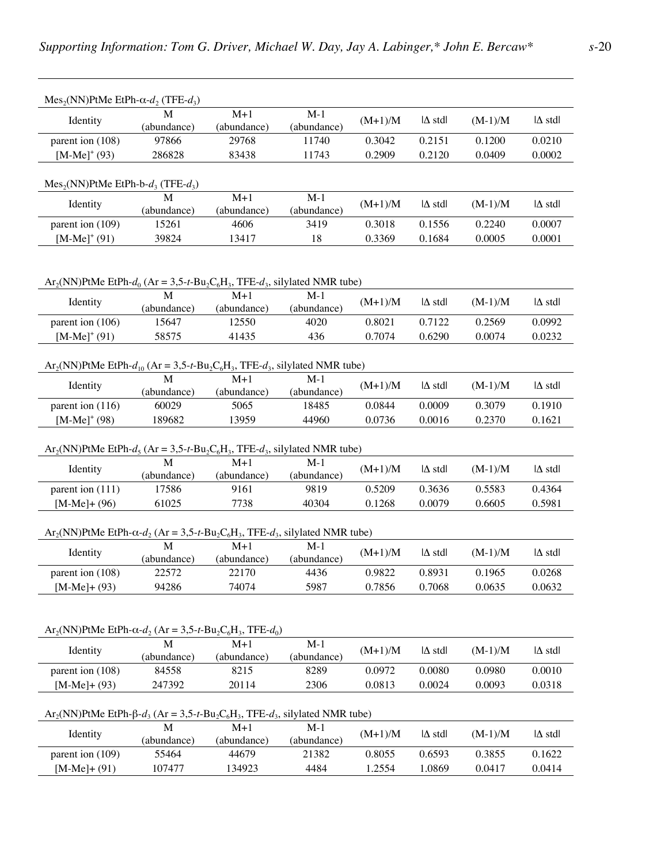| $Mes_2(NN) PtMe EtPh-α-d_2 (TFE-d_3)$                                                                                                                                     |                                                                                                                             |                      |                      |           |                        |           |                        |  |  |  |
|---------------------------------------------------------------------------------------------------------------------------------------------------------------------------|-----------------------------------------------------------------------------------------------------------------------------|----------------------|----------------------|-----------|------------------------|-----------|------------------------|--|--|--|
| Identity                                                                                                                                                                  | (abundance)                                                                                                                 | $M+1$<br>(abundance) | $M-1$<br>(abundance) | $(M+1)/M$ | $\Delta$ stdl          | $(M-1)/M$ | $ \Delta \text{ std} $ |  |  |  |
| parent ion (108)                                                                                                                                                          | 97866                                                                                                                       | 29768                | 11740                | 0.3042    | 0.2151                 | 0.1200    | 0.0210                 |  |  |  |
| $[{\rm M-Me}]^+(93)$                                                                                                                                                      | 286828                                                                                                                      | 83438                | 11743                | 0.2909    | 0.2120                 | 0.0409    | 0.0002                 |  |  |  |
| $Mes2(NN) PtMe EtPh-b-d3 (TFE-d3)$                                                                                                                                        |                                                                                                                             |                      |                      |           |                        |           |                        |  |  |  |
| Identity                                                                                                                                                                  | M<br>(abundance)                                                                                                            | $M+1$<br>(abundance) | $M-1$<br>(abundance) | $(M+1)/M$ | $\Delta$ stdl          | $(M-1)/M$ | $ \Delta \text{ std} $ |  |  |  |
| parent ion (109)                                                                                                                                                          | 15261                                                                                                                       | 4606                 | 3419                 | 0.3018    | 0.1556                 | 0.2240    | 0.0007                 |  |  |  |
| $[M-Me]^+(91)$                                                                                                                                                            | 39824                                                                                                                       | 13417                | 18                   | 0.3369    | 0.1684                 | 0.0005    | 0.0001                 |  |  |  |
| $Ar_2(NN)$ PtMe EtPh- $d_0$ (Ar = 3,5-t-Bu <sub>2</sub> C <sub>6</sub> H <sub>3</sub> , TFE- $d_3$ , silylated NMR tube)<br>$M+1$<br>$M-1$                                |                                                                                                                             |                      |                      |           |                        |           |                        |  |  |  |
| Identity                                                                                                                                                                  | (abundance)                                                                                                                 | (abundance)          | (abundance)          | $(M+1)/M$ | $\Delta$ stdl          | $(M-1)/M$ | $\Delta$ stdl          |  |  |  |
| parent ion (106)                                                                                                                                                          | 15647                                                                                                                       | 12550                | 4020                 | 0.8021    | 0.7122                 | 0.2569    | 0.0992                 |  |  |  |
| $[M-Me]^+(91)$                                                                                                                                                            | 58575                                                                                                                       | 41435                | 436                  | 0.7074    | 0.6290                 | 0.0074    | 0.0232                 |  |  |  |
|                                                                                                                                                                           | $Ar_2(NN)$ PtMe EtPh- $d_{10}$ (Ar = 3,5-t-Bu <sub>2</sub> C <sub>6</sub> H <sub>3</sub> , TFE- $d_3$ , silylated NMR tube) |                      |                      |           |                        |           |                        |  |  |  |
| Identity                                                                                                                                                                  | M<br>(abundance)                                                                                                            | $M+1$<br>(abundance) | $M-1$<br>(abundance) | $(M+1)/M$ | $\Delta$ std           | $(M-1)/M$ | $ \Delta \text{ std} $ |  |  |  |
| parent ion (116)                                                                                                                                                          | 60029                                                                                                                       | 5065                 | 18485                | 0.0844    | 0.0009                 | 0.3079    | 0.1910                 |  |  |  |
| $[M-Me]^+(98)$                                                                                                                                                            | 189682                                                                                                                      | 13959                | 44960                | 0.0736    | 0.0016                 | 0.2370    | 0.1621                 |  |  |  |
| $\frac{\text{Ar}_2(NN) \text{PtMe} \text{ EtPh-}d_5 (\text{Ar} = 3.5 \text{-} t \text{-} \text{Bu}_2\text{C}_6\text{H}_3, \text{TFE-}d_3, \text{silylated NMR tube})}{M}$ |                                                                                                                             |                      |                      |           |                        |           |                        |  |  |  |
| Identity                                                                                                                                                                  | (abundance)                                                                                                                 | (abundance)          | $M-1$<br>(abundance) | $(M+1)/M$ | $\Delta$ stdl          | $(M-1)/M$ | $ \Delta \text{ std} $ |  |  |  |
| parent ion (111)                                                                                                                                                          | 17586                                                                                                                       | 9161                 | 9819                 | 0.5209    | 0.3636                 | 0.5583    | 0.4364                 |  |  |  |
| $[M-Me]+(96)$                                                                                                                                                             | 61025                                                                                                                       | 7738                 | 40304                | 0.1268    | 0.0079                 | 0.6605    | 0.5981                 |  |  |  |
| $Ar_2(NN)$ PtMe EtPh- $\alpha$ - $d_2$ (Ar = 3,5-t-Bu <sub>2</sub> C <sub>6</sub> H <sub>3</sub> , TFE- $d_3$ , silylated NMR tube)                                       |                                                                                                                             |                      |                      |           |                        |           |                        |  |  |  |
| Identity                                                                                                                                                                  | M<br>(abundance)                                                                                                            | $M+1$<br>(abundance) | $M-1$<br>(abundance) | $(M+1)/M$ | $\Delta$ stdl          | $(M-1)/M$ | $ \Delta \text{ std} $ |  |  |  |
| parent ion (108)                                                                                                                                                          | 22572                                                                                                                       | 22170                | 4436                 | 0.9822    | 0.8931                 | 0.1965    | 0.0268                 |  |  |  |
| $[M-Me] + (93)$                                                                                                                                                           | 94286                                                                                                                       | 74074                | 5987                 | 0.7856    | 0.7068                 | 0.0635    | 0.0632                 |  |  |  |
| $Ar_2(NN)$ PtMe EtPh- $\alpha$ - $d_2$ (Ar = 3,5-t-Bu <sub>2</sub> C <sub>6</sub> H <sub>3</sub> , TFE- $d_0$ )                                                           |                                                                                                                             | $M+1$                | $M-1$                |           |                        |           |                        |  |  |  |
| Identity                                                                                                                                                                  | (abundance)                                                                                                                 | (abundance)          | (abundance)          | $(M+1)/M$ | $ \Delta \text{ std} $ | $(M-1)/M$ | $ \Delta \text{ std} $ |  |  |  |
| parent ion (108)                                                                                                                                                          | 84558                                                                                                                       | 8215                 | 8289                 | 0.0972    | 0.0080                 | 0.0980    | 0.0010                 |  |  |  |
| $[M-Me]+ (93)$                                                                                                                                                            | 247392                                                                                                                      | 20114                | 2306                 | 0.0813    | 0.0024                 | 0.0093    | 0.0318                 |  |  |  |
| $Ar_2(NN)$ PtMe EtPh- $\beta$ - $d_3$ (Ar = 3,5-t-Bu <sub>2</sub> C <sub>6</sub> H <sub>3</sub> , TFE- $d_3$ , silylated NMR tube)                                        |                                                                                                                             |                      |                      |           |                        |           |                        |  |  |  |
| Identity                                                                                                                                                                  | M<br>(abundance)                                                                                                            | $M+1$<br>(abundance) | $M-1$<br>(abundance) | $(M+1)/M$ | $\Delta$ stdl          | $(M-1)/M$ | $ \Delta \text{ std} $ |  |  |  |
| parent ion (109)                                                                                                                                                          | 55464                                                                                                                       | 44679                | 21382                | 0.8055    | 0.6593                 | 0.3855    | 0.1622                 |  |  |  |
| $[M-Me]+(91)$                                                                                                                                                             | 107477                                                                                                                      | 134923               | 4484                 | 1.2554    | 1.0869                 | 0.0417    | 0.0414                 |  |  |  |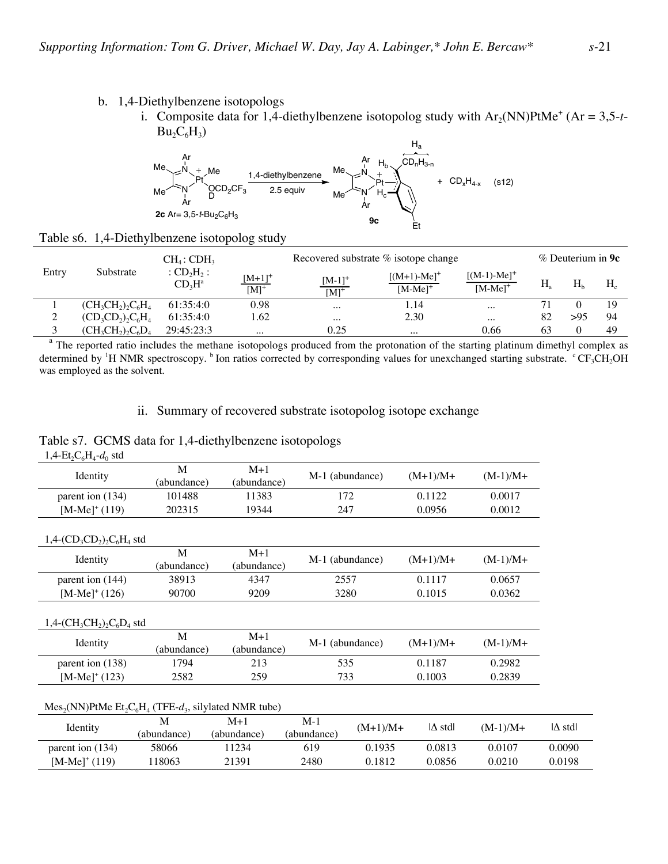### b. 1,4-Diethylbenzene isotopologs

Table s6. 1,4-Diethylbenzene isotopolog study

i. Composite data for 1,4-diethylbenzene isotopolog study with  $Ar_2(NN)PtMe^+$  (Ar = 3,5-t- $Bu_2C_6H_3)$ 



|       |                         | $CH_4$ : CDH <sub>3</sub>                       |                        | Recovered substrate % isotope change |                             |                             |    | $%$ Deuterium in <b>9c</b> |       |  |
|-------|-------------------------|-------------------------------------------------|------------------------|--------------------------------------|-----------------------------|-----------------------------|----|----------------------------|-------|--|
| Entry | Substrate               | : $CD_2H_2$ :<br>CD <sub>3</sub> H <sup>a</sup> | $[M+1]^+$<br>$[M]^{+}$ | $\frac{[M-1]^+}{[M]^+}$              | $[(M+1)-Me]+$<br>$[M-Me]^+$ | $[(M-1)-Me]+$<br>$[M-Me]^+$ | Н. | H <sub>b</sub>             | $H_c$ |  |
|       | $(CH_3CH_2)$ , $C_6H_4$ | 61:35:4:0                                       | 0.98                   | $\cdots$                             | 1.14                        | $\cdots$                    |    |                            | 19    |  |
| ↑     | $(CD_3CD_2)_2C_6H_4$    | 61:35:4:0                                       | 1.62                   | $\cdots$                             | 2.30                        | $\cdots$                    | 82 | >95                        | 94    |  |
|       | $(CH_3CH_2)$ , $C_6D_4$ | 29:45:23:3                                      | $\cdots$               | 0.25                                 | $\cdots$                    | 0.66                        | 63 |                            | 49    |  |

<sup>a</sup> The reported ratio includes the methane isotopologs produced from the protonation of the starting platinum dimethyl complex as determined by <sup>1</sup>H NMR spectroscopy.  $^b$  Ion ratios corrected by corresponding values for unexchanged starting substrate.  $^c$ CF<sub>3</sub>CH<sub>2</sub>OH was employed as the solvent.

## ii. Summary of recovered substrate isotopolog isotope exchange

Table s7. GCMS data for 1,4-diethylbenzene isotopologs

| $(M-1)/M+$                           |
|--------------------------------------|
|                                      |
| 0.0017                               |
| 0.0012                               |
|                                      |
| $(M-1)/M+$                           |
| 0.0657                               |
| 0.0362                               |
| $(M-1)/M+$                           |
|                                      |
| 0.2982                               |
| 0.2839                               |
|                                      |
| $ \Delta \text{ std} $<br>$(M-1)/M+$ |
|                                      |
| 0.0090<br>0.0107                     |
|                                      |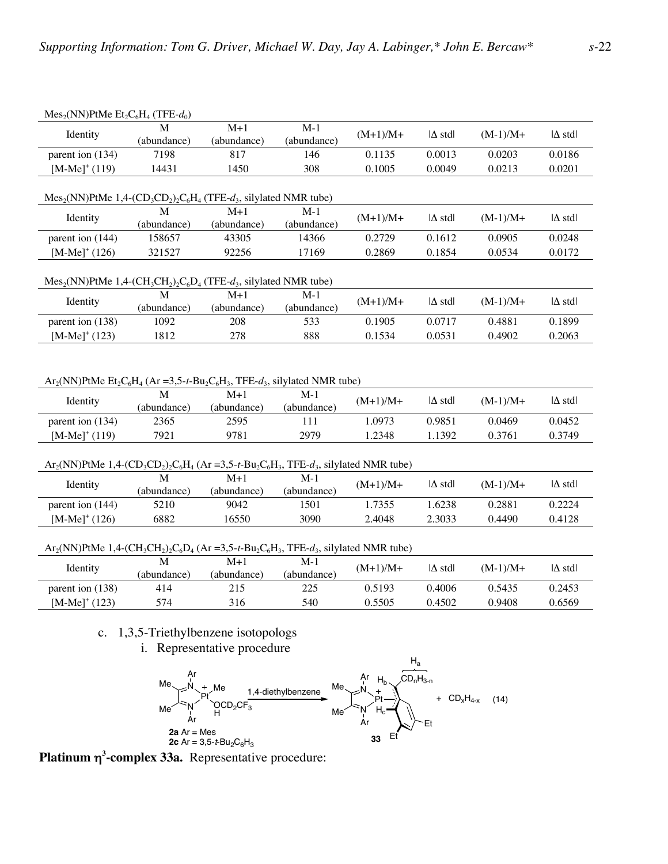|                                                                                                                                                                                                       | IVICS <sub>2</sub> (IVIV) THE $E_2C_6\Pi_4$ (IFE- $u_0$ )<br>M | $M+1$                    | $M-1$                |                      |                                  |                      |                         |  |  |  |
|-------------------------------------------------------------------------------------------------------------------------------------------------------------------------------------------------------|----------------------------------------------------------------|--------------------------|----------------------|----------------------|----------------------------------|----------------------|-------------------------|--|--|--|
| Identity                                                                                                                                                                                              | (abundance)                                                    | (abundance)              | (abundance)          | $(M+1)/M+$           | $ \Delta \text{ std} $           | $(M-1)/M+$           | $ \Delta \text{ std} $  |  |  |  |
| parent ion (134)                                                                                                                                                                                      | 7198                                                           | 817                      | 146                  | 0.1135               | 0.0013                           | 0.0203               | 0.0186                  |  |  |  |
| $[M-Me]^+(119)$                                                                                                                                                                                       | 14431                                                          | 1450                     | 308                  | 0.1005               | 0.0049                           | 0.0213               | 0.0201                  |  |  |  |
| $Mes2(NN) PtMe 1,4-(CD3CD2)2C6H4 (TFE-d3, silylated NMR tube)$                                                                                                                                        |                                                                |                          |                      |                      |                                  |                      |                         |  |  |  |
| Identity                                                                                                                                                                                              | (abundance)                                                    | $M+1$<br>(abundance)     | $M-1$<br>(abundance) | $(M+1)/M+$           | $ \Delta \text{ std} $           | $(M-1)/M+$           | $ \Delta \text{ std} $  |  |  |  |
| parent ion (144)                                                                                                                                                                                      | 158657                                                         | 43305                    | 14366                | 0.2729               | 0.1612                           | 0.0905               | 0.0248                  |  |  |  |
| $[M-Me]^+(126)$                                                                                                                                                                                       | 321527                                                         | 92256                    | 17169                | 0.2869               | 0.1854                           | 0.0534               | 0.0172                  |  |  |  |
| $Mes2(NN) PtMe 1,4-(CH3CH2)2C6D4 (TFE-d3, silylated NMR tube)$                                                                                                                                        |                                                                |                          |                      |                      |                                  |                      |                         |  |  |  |
| Identity                                                                                                                                                                                              | M<br>(abundance)                                               | $M+1$<br>(abundance)     | $M-1$<br>(abundance) | $(M+1)/M+$           | $ \Delta \text{ std} $           | $(M-1)/M+$           | $ \Delta \text{ std} $  |  |  |  |
| parent ion (138)                                                                                                                                                                                      | 1092                                                           | 208                      | 533                  | 0.1905               | 0.0717                           | 0.4881               | 0.1899                  |  |  |  |
| $[M-Me]^+(123)$                                                                                                                                                                                       | 1812                                                           | 278                      | 888                  | 0.1534               | 0.0531                           | 0.4902               | 0.2063                  |  |  |  |
| Identity<br>parent ion (134)                                                                                                                                                                          | (abundance)<br>2365                                            | (abundance)<br>2595      | (abundance)<br>111   | $(M+1)/M+$<br>1.0973 | $ \Delta \text{ std} $<br>0.9851 | $(M-1)/M+$<br>0.0469 | $\Delta$ stdl<br>0.0452 |  |  |  |
|                                                                                                                                                                                                       | M                                                              | $M+1$                    | $M-1$                |                      |                                  |                      |                         |  |  |  |
|                                                                                                                                                                                                       |                                                                |                          |                      |                      |                                  |                      |                         |  |  |  |
| $[M-Me]^+(119)$                                                                                                                                                                                       | 7921                                                           | 9781                     | 2979                 | 1.2348               | 1.1392                           | 0.3761               | 0.3749                  |  |  |  |
| $Ar_2(NN)$ PtMe 1,4- $(CD_3CD_2)_2C_6H_4$ (Ar =3,5-t-Bu <sub>2</sub> C <sub>6</sub> H <sub>3</sub> , TFE-d <sub>3</sub> , silylated NMR tube)                                                         |                                                                |                          |                      |                      |                                  |                      |                         |  |  |  |
| Identity                                                                                                                                                                                              | M<br>(abundance)                                               | $M+1$<br>(abundance)     | $M-1$<br>(abundance) | $(M+1)/M+$           | $ \Delta \text{ std} $           | $(M-1)/M+$           | $ \Delta \text{ std} $  |  |  |  |
| parent ion (144)                                                                                                                                                                                      | 5210                                                           | 9042                     | 1501                 | 1.7355               | 1.6238                           | 0.2881               | 0.2224                  |  |  |  |
| $[M-Me]^+(126)$                                                                                                                                                                                       | 6882                                                           | 16550                    | 3090                 | 2.4048               | 2.3033                           | 0.4490               | 0.4128                  |  |  |  |
| $Ar_2(NN)$ PtMe 1,4-(CH <sub>3</sub> CH <sub>2</sub> ) <sub>2</sub> C <sub>6</sub> D <sub>4</sub> (Ar =3,5-t-Bu <sub>2</sub> C <sub>6</sub> H <sub>3</sub> , TFE-d <sub>3</sub> , silylated NMR tube) |                                                                |                          |                      |                      |                                  |                      |                         |  |  |  |
| Identity                                                                                                                                                                                              | M<br>(abundance)                                               | $M+1$<br>(abundance)     | $M-1$<br>(abundance) | $(M+1)/M+$           | $ \Delta \text{ std} $           | $(M-1)/M+$           | $ \Delta \text{ std} $  |  |  |  |
| parent ion (138)                                                                                                                                                                                      | 414                                                            | 215                      | 225                  | 0.5193               | 0.4006                           | 0.5435               | 0.2453                  |  |  |  |
| $[M-Me]^+(123)$                                                                                                                                                                                       | 574                                                            | 316                      | 540                  | 0.5505               | 0.4502                           | 0.9408               | 0.6569                  |  |  |  |
|                                                                                                                                                                                                       | c. 1,3,5-Triethylbenzene isotopologs                           | Denvesentetive nuoseluve |                      |                      |                                  |                      |                         |  |  |  |

#### $M_{\text{ee}}$  (NN)PtM<sub>e</sub> Et C H (TFE  $d$ )

i. Representative procedure



**Platinum** η**<sup>3</sup> -complex 33a.** Representative procedure: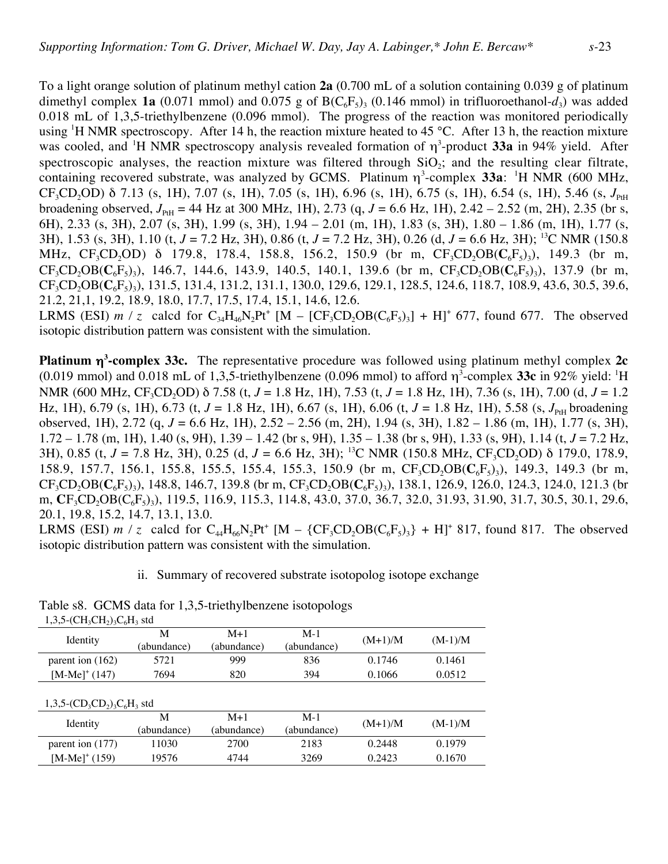To a light orange solution of platinum methyl cation **2a** (0.700 mL of a solution containing 0.039 g of platinum dimethyl complex **1a** (0.071 mmol) and 0.075 g of  $B(C_6F_5)$ <sub>3</sub> (0.146 mmol) in trifluoroethanol- $d_3$ ) was added 0.018 mL of 1,3,5-triethylbenzene (0.096 mmol). The progress of the reaction was monitored periodically using <sup>1</sup>H NMR spectroscopy. After 14 h, the reaction mixture heated to 45 °C. After 13 h, the reaction mixture was cooled, and <sup>1</sup>H NMR spectroscopy analysis revealed formation of η<sup>3</sup>-product **33a** in 94% yield. After spectroscopic analyses, the reaction mixture was filtered through  $SiO<sub>2</sub>$ ; and the resulting clear filtrate, containing recovered substrate, was analyzed by GCMS. Platinum  $\eta^3$ -complex 33a: <sup>1</sup>H NMR (600 MHz,  $CF_3CD_2OD$ ) δ 7.13 (s, 1H), 7.07 (s, 1H), 7.05 (s, 1H), 6.96 (s, 1H), 6.75 (s, 1H), 6.54 (s, 1H), 5.46 (s,  $J_{\text{PH}}$ broadening observed,  $J_{\text{PH}}$  = 44 Hz at 300 MHz, 1H), 2.73 (q,  $J = 6.6$  Hz, 1H), 2.42 – 2.52 (m, 2H), 2.35 (br s, 6H), 2.33 (s, 3H), 2.07 (s, 3H), 1.99 (s, 3H), 1.94 – 2.01 (m, 1H), 1.83 (s, 3H), 1.80 – 1.86 (m, 1H), 1.77 (s, 3H), 1.53 (s, 3H), 1.10 (t, *J* = 7.2 Hz, 3H), 0.86 (t, *J* = 7.2 Hz, 3H), 0.26 (d, *J* = 6.6 Hz, 3H); 13C NMR (150.8 MHz, CF<sub>3</sub>CD<sub>2</sub>OD) δ 179.8, 178.4, 158.8, 156.2, 150.9 (br m, CF<sub>3</sub>CD<sub>2</sub>OB(C<sub>6</sub>F<sub>5</sub>)<sub>3</sub>), 149.3 (br m,  $CF_3CD_2OB(C_6F_5)$ <sub>3</sub>), 146.7, 144.6, 143.9, 140.5, 140.1, 139.6 (br m,  $CF_3CD_2OB(C_6F_5)$ <sub>3</sub>), 137.9 (br m, CF<sub>3</sub>CD<sub>2</sub>OB(C<sub>6</sub>F<sub>5</sub>)<sub>2</sub>), 131.5, 131.4, 131.2, 131.1, 130.0, 129.6, 129.1, 128.5, 124.6, 118.7, 108.9, 43.6, 30.5, 39.6, 21.2, 21,1, 19.2, 18.9, 18.0, 17.7, 17.5, 17.4, 15.1, 14.6, 12.6. LRMS (ESI)  $m / z$  calcd for  $C_{34}H_{46}N_2Pt^+$  [M – [CF<sub>3</sub>CD<sub>2</sub>OB(C<sub>6</sub>F<sub>5</sub>)<sub>3</sub>] + H]<sup>+</sup> 677, found 677. The observed

isotopic distribution pattern was consistent with the simulation.

**Platinum** η**<sup>3</sup> -complex 33c.** The representative procedure was followed using platinum methyl complex **2c** (0.019 mmol) and 0.018 mL of 1,3,5-triethylbenzene (0.096 mmol) to afford  $\eta^3$ -complex 33c in 92% yield: <sup>1</sup>H NMR (600 MHz, CF<sub>3</sub>CD<sub>2</sub>OD) δ 7.58 (t, *J* = 1.8 Hz, 1H), 7.53 (t, *J* = 1.8 Hz, 1H), 7.36 (s, 1H), 7.00 (d, *J* = 1.2 Hz, 1H), 6.79 (s, 1H), 6.73 (t,  $J = 1.8$  Hz, 1H), 6.67 (s, 1H), 6.06 (t,  $J = 1.8$  Hz, 1H), 5.58 (s,  $J_{PH}$  broadening observed, 1H), 2.72 (q, *J* = 6.6 Hz, 1H), 2.52 – 2.56 (m, 2H), 1.94 (s, 3H), 1.82 – 1.86 (m, 1H), 1.77 (s, 3H), 1.72 – 1.78 (m, 1H), 1.40 (s, 9H), 1.39 – 1.42 (br s, 9H), 1.35 – 1.38 (br s, 9H), 1.33 (s, 9H), 1.14 (t, *J* = 7.2 Hz, 3H), 0.85 (t,  $J = 7.8$  Hz, 3H), 0.25 (d,  $J = 6.6$  Hz, 3H); <sup>13</sup>C NMR (150.8 MHz, CF<sub>3</sub>CD<sub>2</sub>OD) δ 179.0, 178.9, 158.9, 157.7, 156.1, 155.8, 155.5, 155.4, 155.3, 150.9 (br m, CF<sub>3</sub>CD<sub>2</sub>OB(C<sub>6</sub>F<sub>5</sub>)<sub>3</sub>), 149.3, 149.3 (br m,  $CF_3CD_2OB(C_6F_5)$ <sub>3</sub>), 148.8, 146.7, 139.8 (br m,  $CF_3CD_2OB(C_6F_5)$ <sub>3</sub>), 138.1, 126.9, 126.0, 124.3, 124.0, 121.3 (br m, **C**F<sub>3</sub>CD<sub>2</sub>OB(C<sub>6</sub>F<sub>5</sub>)<sub>3</sub>), 119.5, 116.9, 115.3, 114.8, 43.0, 37.0, 36.7, 32.0, 31.93, 31.90, 31.7, 30.5, 30.1, 29.6, 20.1, 19.8, 15.2, 14.7, 13.1, 13.0.

LRMS (ESI) *m* / *z* calcd for  $C_{44}H_{66}N_{2}Pt^{+}$  [M –  $\{CF_{3}CD_{2}OB(C_{6}F_{5})_{3}\}$  + H]<sup>+</sup> 817, found 817. The observed isotopic distribution pattern was consistent with the simulation.

ii. Summary of recovered substrate isotopolog isotope exchange

Table s8. GCMS data for 1,3,5-triethylbenzene isotopologs  $1,3,5-(CH<sub>2</sub>CH<sub>2</sub>)<sub>2</sub>CH<sub>2</sub>$  std

| $1, 3, 3 - 1 \text{CI} (12 \text{CI} (11) 12 \text{CI} (112 \text{ SU})$ |                  |                      |                      |           |           |  |
|--------------------------------------------------------------------------|------------------|----------------------|----------------------|-----------|-----------|--|
| Identity                                                                 | M<br>(abundance) | $M+1$<br>(abundance) | $M-1$<br>(abundance) | $(M+1)/M$ | $(M-1)/M$ |  |
|                                                                          |                  |                      |                      |           |           |  |
| parent ion (162)                                                         | 5721             | 999                  | 836                  | 0.1746    | 0.1461    |  |
| $[M-Me]^+(147)$                                                          | 7694             | 820                  | 394                  | 0.1066    | 0.0512    |  |
| $1,3,5-(CD_3CD_2)$ <sub>3</sub> C <sub>6</sub> H <sub>3</sub> std        |                  |                      |                      |           |           |  |
| Identity                                                                 | M<br>(abundance) | $M+1$<br>(abundance) | $M-1$<br>(abundance) | $(M+1)/M$ | $(M-1)/M$ |  |
| parent ion (177)                                                         | 11030            | 2700                 | 2183                 | 0.2448    | 0.1979    |  |
| $[M-Me]^+(159)$                                                          | 19576            | 4744                 | 3269                 | 0.2423    | 0.1670    |  |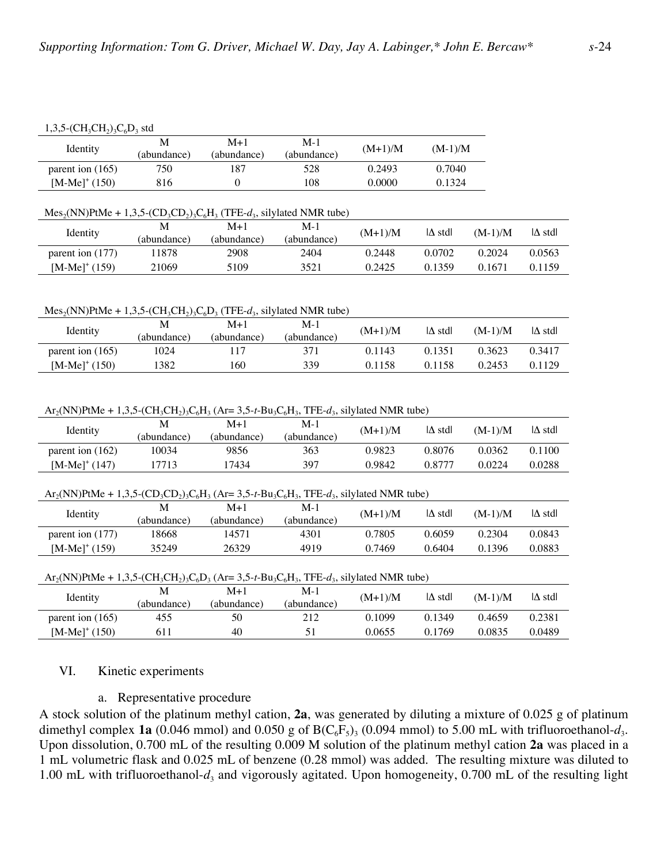#### $1,3,5$ -(CH<sub>3</sub>CH<sub>2</sub>)<sub>3</sub>C<sub>6</sub>D<sub>3</sub> std

| Identity                  | (abundance) | M+1<br>(abundance) | $M-1$<br>(abundance) | $(M+1)/M$ | $(M-1)/M$ |
|---------------------------|-------------|--------------------|----------------------|-----------|-----------|
| parent ion $(165)$        | 750         | 87                 | 528                  | 0.2493    | 0.7040    |
| [M-Me] <sup>+</sup> (150) | 816         |                    | 108                  | 0.0000    | 0.1324    |

#### $Mes<sub>2</sub>(NN) PtMe + 1,3,5-(CD<sub>3</sub>CD<sub>2</sub>)<sub>3</sub>C<sub>6</sub>H<sub>3</sub> (TFE-*d*<sub>3</sub>, silylated NMR tube)$

| Identity         | (abundance) | $M+1$<br>(abundance) | $M-1$<br>(abundance) | $(M+1)/M$ | $ \Delta \text{ std} $ | $(M-1)/M$ | $\Delta$ stdl |
|------------------|-------------|----------------------|----------------------|-----------|------------------------|-----------|---------------|
| parent ion (177) | 1878        | 2908                 | 2404                 | 0.2448    | 0.0702                 | 0.2024    | 0.0563        |
| $[M-Me]^+(159)$  | 21069       | 5109                 | 3521                 | 0.2425    | ገ 1359                 | 0.1671    | 0.1159        |

#### $Mes<sub>2</sub>(NN) PtMe + 1,3,5-(CH<sub>3</sub>CH<sub>2</sub>)<sub>3</sub>C<sub>6</sub>D<sub>3</sub> (TFE- $d_3$ , silylated NMR tube)$

| Identity           | M<br>(abundance) | M+1<br>(abundance) | M-1<br>(abundance) | $(M+1)/M$ | $ \Delta \text{ std} $ | $(M-1)/M$ | $\Delta$ stdl |
|--------------------|------------------|--------------------|--------------------|-----------|------------------------|-----------|---------------|
| parent ion $(165)$ | 1024             |                    |                    | 0.1143    | 0.1351                 | 0.3623    | 0.3417        |
| $[M-Me]^+(150)$    | 382              | . 60               | 339                | 0.1158    | 158                    | 0.2453    | 0.1129        |

#### $Ar_2(NN)PtMe + 1,3,5-(CH_3CH_2)_3C_6H_3$  (Ar= 3,5-t-Bu<sub>3</sub>C<sub>6</sub>H<sub>3</sub>, TFE- $d_3$ , silylated NMR tube)

| Identity                                                                                                                                                                                                  | M           | $M+1$       | $M-1$       | $(M+1)/M$ | $ \Delta \text{ std} $ | $(M-1)/M$ | $\Delta$ std |
|-----------------------------------------------------------------------------------------------------------------------------------------------------------------------------------------------------------|-------------|-------------|-------------|-----------|------------------------|-----------|--------------|
|                                                                                                                                                                                                           | (abundance) | (abundance) | (abundance) |           |                        |           |              |
| parent ion $(162)$                                                                                                                                                                                        | 10034       | 9856        | 363         | 0.9823    | 0.8076                 | 0.0362    | 0.1100       |
| $[M-Me]^+(147)$                                                                                                                                                                                           | 17713       | 17434       | 397         | 0.9842    | 0.8777                 | 0.0224    | 0.0288       |
|                                                                                                                                                                                                           |             |             |             |           |                        |           |              |
| $Ar_2(NN)$ PtMe + 1,3,5-(CD <sub>3</sub> CD <sub>2</sub> ) <sub>3</sub> C <sub>6</sub> H <sub>3</sub> (Ar= 3,5-t-Bu <sub>3</sub> C <sub>6</sub> H <sub>3</sub> , TFE-d <sub>3</sub> , silylated NMR tube) |             |             |             |           |                        |           |              |
| Identity                                                                                                                                                                                                  | M           | $M+1$       | $M-1$       | $(M+1)/M$ | $ \Delta \text{ std} $ | $(M-1)/M$ | $\Delta$ std |
|                                                                                                                                                                                                           | (abundance) | (abundance) | (abundance) |           |                        |           |              |
| parent ion $(177)$                                                                                                                                                                                        | 18668       | 14571       | 4301        | 0.7805    | 0.6059                 | 0.2304    | 0.0843       |
| $[M-Me]^+(159)$                                                                                                                                                                                           | 35249       | 26329       | 4919        | 0.7469    | 0.6404                 | 0.1396    | 0.0883       |
|                                                                                                                                                                                                           |             |             |             |           |                        |           |              |
| $Ar_2(NN)$ PtMe + 1,3,5-(CH <sub>3</sub> CH <sub>2</sub> ) <sub>3</sub> C <sub>6</sub> D <sub>3</sub> (Ar= 3,5-t-Bu <sub>3</sub> C <sub>6</sub> H <sub>3</sub> , TFE-d <sub>3</sub> , silylated NMR tube) |             |             |             |           |                        |           |              |
|                                                                                                                                                                                                           | M           | $M+1$       | $M-1$       | $(M+1)/M$ | $ \Delta \text{ std} $ | $(M-1)/M$ | $\Delta$ std |
| Identity                                                                                                                                                                                                  | (abundance) | (abundance) | (abundance) |           |                        |           |              |
| parent ion $(165)$                                                                                                                                                                                        | 455         | 50          | 212         | 0.1099    | 0.1349                 | 0.4659    | 0.2381       |
| $[M-Me]^+(150)$                                                                                                                                                                                           | 611         | 40          | 51          | 0.0655    | 0.1769                 | 0.0835    | 0.0489       |

### VI. Kinetic experiments

### a. Representative procedure

A stock solution of the platinum methyl cation, **2a**, was generated by diluting a mixture of 0.025 g of platinum dimethyl complex **1a** (0.046 mmol) and 0.050 g of  $B(C_6F_5)$ <sub>3</sub> (0.094 mmol) to 5.00 mL with trifluoroethanol- $d_3$ . Upon dissolution, 0.700 mL of the resulting 0.009 M solution of the platinum methyl cation **2a** was placed in a 1 mL volumetric flask and 0.025 mL of benzene (0.28 mmol) was added. The resulting mixture was diluted to 1.00 mL with trifluoroethanol- $d_3$  and vigorously agitated. Upon homogeneity, 0.700 mL of the resulting light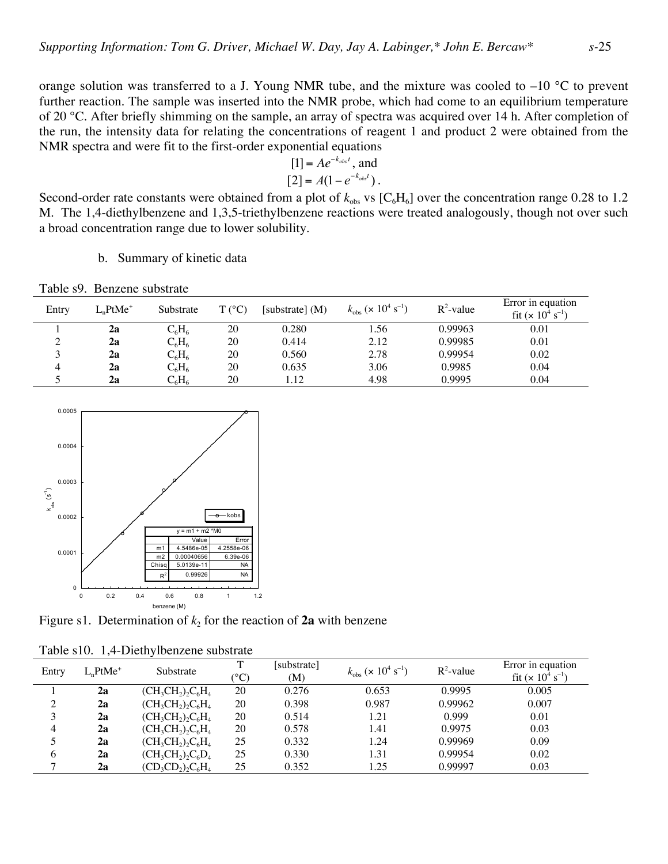orange solution was transferred to a J. Young NMR tube, and the mixture was cooled to –10 °C to prevent further reaction. The sample was inserted into the NMR probe, which had come to an equilibrium temperature of 20 °C. After briefly shimming on the sample, an array of spectra was acquired over 14 h. After completion of the run, the intensity data for relating the concentrations of reagent 1 and product 2 were obtained from the NMR spectra and were fit to the first-order exponential equations

$$
[1] = Ae^{-k_{obs}t}, \text{ and} [2] = A(1 - e^{-k_{obs}t}).
$$

A. The 1,4-distribution range due to lower solubility. Second-order rate constants were obtained from a plot of  $k_{obs}$  vs  $[C_6H_6]$  over the concentration range 0.28 to 1.2 M. The 1,4-diethylbenzene and 1,3,5-triethylbenzene reactions were treated analogously, though not over such

b. Summary of kinetic data

|       | 1 401 07 1 D 011 011 0 500 0 11 41 0 |               |                 |                   |                                                            |              |                                            |
|-------|--------------------------------------|---------------|-----------------|-------------------|------------------------------------------------------------|--------------|--------------------------------------------|
| Entry | $LnPtMe+$                            | Substrate     | $T (^{\circ}C)$ | [substrate] $(M)$ | $k_{\rm obs}$ ( $\times$ 10 <sup>4</sup> s <sup>-1</sup> ) | $R^2$ -value | Error in equation<br>fit $(x 10^4 s^{-1})$ |
|       | 2a                                   | $C_6H_6$      | 20              | 0.280             | 1.56                                                       | 0.99963      | 0.01                                       |
| ◠     | 2a                                   | $C_6H_6$      | 20              | 0.414             | 2.12                                                       | 0.99985      | 0.01                                       |
|       | 2a                                   | $C_6H_6$      | 20              | 0.560             | 2.78                                                       | 0.99954      | 0.02                                       |
|       | 2a                                   | $C_6H_6$      | 20              | 0.635             | 3.06                                                       | 0.9985       | 0.04                                       |
|       | 2a                                   | $\rm{C_6H_6}$ | 20              | 1.12              | 4.98                                                       | 0.9995       | 0.04                                       |
|       |                                      |               |                 |                   |                                                            |              |                                            |

Table s9. Benzene substrate



Figure s1. Determination of  $k$ , for the reaction of  $2a$  with benzene

| Entry | $LnPtMe+$ | Substrate            | $\rm ^{\circ}C)$ | [substrate]<br>(M) | $k_{\rm obs}$ ( $\times$ 10 <sup>4</sup> s <sup>-1</sup> ) | $R^2$ -value | Error in equation<br>fit $(x 10^4 s^{-1})$ |
|-------|-----------|----------------------|------------------|--------------------|------------------------------------------------------------|--------------|--------------------------------------------|
|       | 2a        | $(CH_3CH_2)_2C_6H_4$ | 20               | 0.276              | 0.653                                                      | 0.9995       | 0.005                                      |
| ◠     | 2a        | $(CH_3CH_2)_2C_6H_4$ | 20               | 0.398              | 0.987                                                      | 0.99962      | 0.007                                      |
| ζ     | 2a        | $(CH_3CH_2)_2C_6H_4$ | 20               | 0.514              | 1.21                                                       | 0.999        | 0.01                                       |
| 4     | 2a        | $(CH_3CH_2)_2C_6H_4$ | 20               | 0.578              | 1.41                                                       | 0.9975       | 0.03                                       |
|       | 2a        | $(CH_3CH_2)_2C_6H_4$ | 25               | 0.332              | 1.24                                                       | 0.99969      | 0.09                                       |
| 6     | 2a        | $(CH_3CH_2)_2C_6D_4$ | 25               | 0.330              | 1.31                                                       | 0.99954      | 0.02                                       |
|       | 2a        | $(CD_3CD_2)_2C_6H_4$ | 25               | 0.352              | 1.25                                                       | 0.99997      | 0.03                                       |

Table s10. 1,4-Diethylbenzene substrate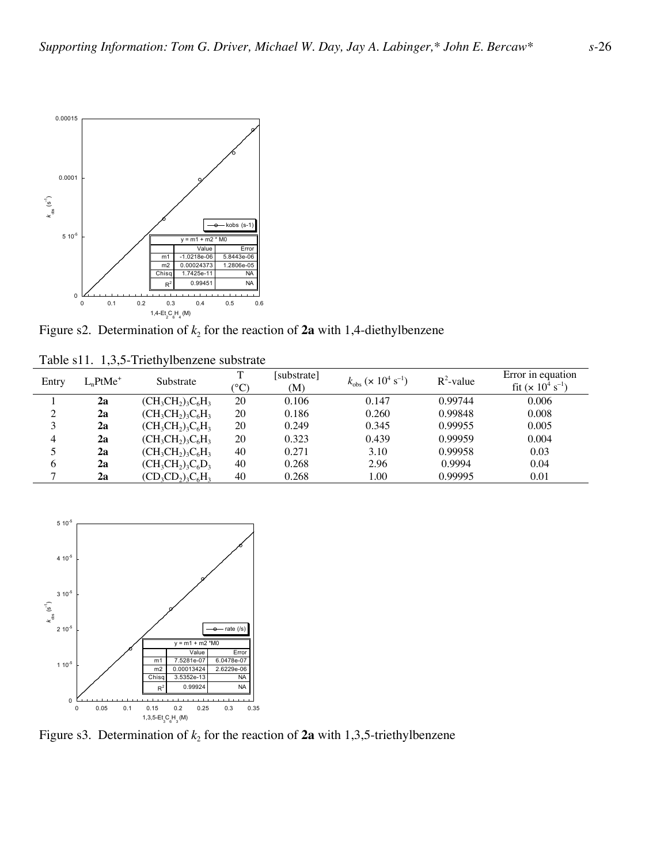

Figure s2. Determination of  $k_2$  for the reaction of  $2a$  with 1,4-diethylbenzene

| Entry | $LnPtMe+$ | Substrate            | m<br>$\rm ^{\circ}C)$ | [substrate]<br>(M) | $k_{\rm obs}$ ( $\times$ 10 <sup>4</sup> s <sup>-1</sup> ) | $R^2$ -value | Error in equation<br>fit $(x 10^4 s^{-1})$ |
|-------|-----------|----------------------|-----------------------|--------------------|------------------------------------------------------------|--------------|--------------------------------------------|
|       | 2a        | $(CH_3CH_2)_3C_6H_3$ | 20                    | 0.106              | 0.147                                                      | 0.99744      | 0.006                                      |
| ◠     | 2a        | $(CH_3CH_2)_3C_6H_3$ | 20                    | 0.186              | 0.260                                                      | 0.99848      | 0.008                                      |
| 3     | 2a        | $(CH_3CH_2)_3C_6H_3$ | 20                    | 0.249              | 0.345                                                      | 0.99955      | 0.005                                      |
| 4     | 2a        | $(CH_3CH_2)_3C_6H_3$ | 20                    | 0.323              | 0.439                                                      | 0.99959      | 0.004                                      |
|       | 2a        | $(CH_3CH_2)_3C_6H_3$ | 40                    | 0.271              | 3.10                                                       | 0.99958      | 0.03                                       |
| 6     | 2a        | $(CH_3CH_2)_3C_6D_3$ | 40                    | 0.268              | 2.96                                                       | 0.9994       | 0.04                                       |
| ┑     | 2a        | $(CD_3CD_2)_3C_6H_3$ | 40                    | 0.268              | 1.00                                                       | 0.99995      | 0.01                                       |



Figure s3. Determination of  $k_2$  for the reaction of  $2a$  with 1,3,5-triethylbenzene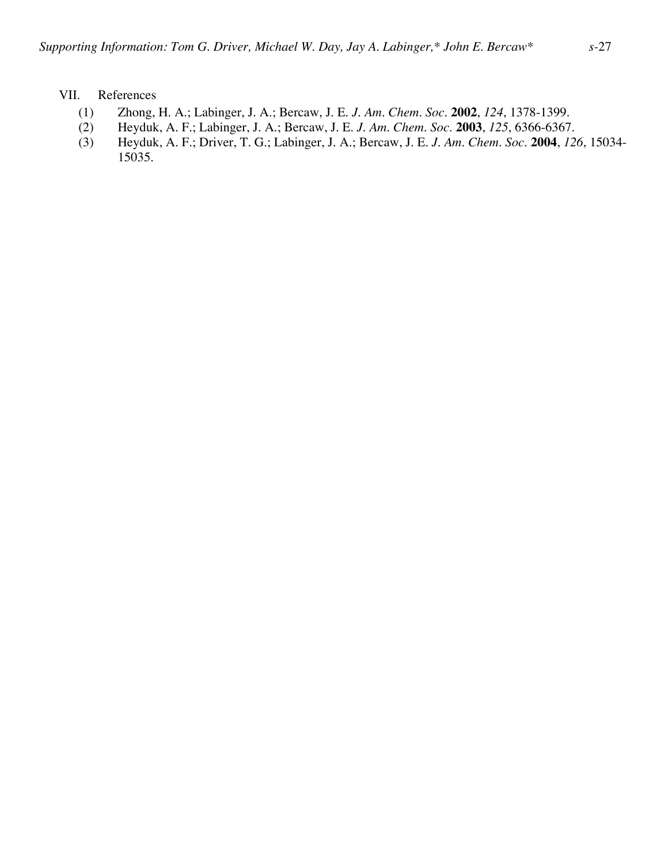## VII. References

- (1) Zhong, H. A.; Labinger, J. A.; Bercaw, J. E. *J. Am. Chem. Soc.* **2002**, *124*, 1378-1399.
- (2) Heyduk, A. F.; Labinger, J. A.; Bercaw, J. E. *J. Am. Chem. Soc.* **2003**, *125*, 6366-6367.
- (3) Heyduk, A. F.; Driver, T. G.; Labinger, J. A.; Bercaw, J. E. *J. Am. Chem. Soc.* **2004**, *126*, 15034- 15035.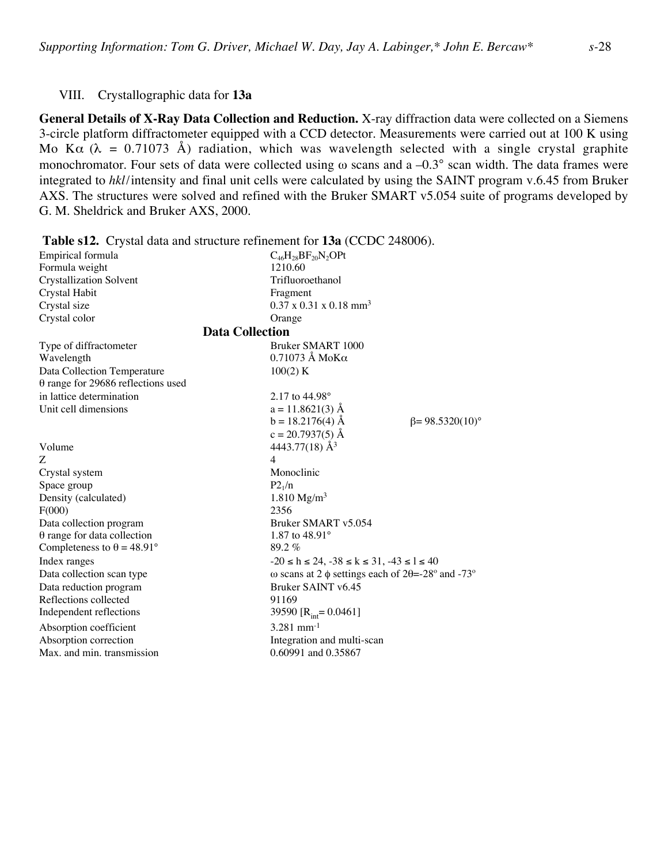## VIII. Crystallographic data for **13a**

**General Details of X-Ray Data Collection and Reduction.** X-ray diffraction data were collected on a Siemens 3-circle platform diffractometer equipped with a CCD detector. Measurements were carried out at 100 K using Mo K $\alpha$  ( $\lambda$  = 0.71073 Å) radiation, which was wavelength selected with a single crystal graphite monochromator. Four sets of data were collected using  $\omega$  scans and a –0.3° scan width. The data frames were integrated to *hkl*/intensity and final unit cells were calculated by using the SAINT program v.6.45 from Bruker AXS. The structures were solved and refined with the Bruker SMART v5.054 suite of programs developed by G. M. Sheldrick and Bruker AXS, 2000.

| <b>Table s12.</b> Crystal data and structure refinement for <b>15a</b> (CCDC 248006). |                                                              |  |  |  |  |  |  |
|---------------------------------------------------------------------------------------|--------------------------------------------------------------|--|--|--|--|--|--|
| Empirical formula                                                                     | $C_{46}H_{28}BF_{20}N_2$ OPt                                 |  |  |  |  |  |  |
| Formula weight                                                                        | 1210.60                                                      |  |  |  |  |  |  |
| <b>Crystallization Solvent</b>                                                        | Trifluoroethanol                                             |  |  |  |  |  |  |
| Crystal Habit                                                                         | Fragment                                                     |  |  |  |  |  |  |
| Crystal size                                                                          | $0.37 \times 0.31 \times 0.18$ mm <sup>3</sup>               |  |  |  |  |  |  |
| Crystal color                                                                         | Orange                                                       |  |  |  |  |  |  |
| <b>Data Collection</b>                                                                |                                                              |  |  |  |  |  |  |
| Type of diffractometer                                                                | Bruker SMART 1000                                            |  |  |  |  |  |  |
| Wavelength                                                                            | $0.71073$ Å MoK $\alpha$                                     |  |  |  |  |  |  |
| Data Collection Temperature                                                           | 100(2) K                                                     |  |  |  |  |  |  |
| $\theta$ range for 29686 reflections used                                             |                                                              |  |  |  |  |  |  |
| in lattice determination                                                              | 2.17 to $44.98^{\circ}$                                      |  |  |  |  |  |  |
| Unit cell dimensions                                                                  | $a = 11.8621(3)$ Å                                           |  |  |  |  |  |  |
|                                                                                       | $b = 18.2176(4)$ Å<br>$\beta = 98.5320(10)$ °                |  |  |  |  |  |  |
|                                                                                       | $c = 20.7937(5)$ Å                                           |  |  |  |  |  |  |
| Volume                                                                                | 4443.77(18) $\AA$ <sup>3</sup>                               |  |  |  |  |  |  |
| Ζ                                                                                     | 4                                                            |  |  |  |  |  |  |
| Crystal system                                                                        | Monoclinic                                                   |  |  |  |  |  |  |
| Space group                                                                           | P2 <sub>1</sub> /n                                           |  |  |  |  |  |  |
| Density (calculated)                                                                  | 1.810 $Mg/m^3$                                               |  |  |  |  |  |  |
| F(000)                                                                                | 2356                                                         |  |  |  |  |  |  |
| Data collection program                                                               | Bruker SMART v5.054                                          |  |  |  |  |  |  |
| $\theta$ range for data collection                                                    | 1.87 to $48.91^{\circ}$                                      |  |  |  |  |  |  |
| Completeness to $\theta = 48.91^{\circ}$                                              | $89.2\%$                                                     |  |  |  |  |  |  |
| Index ranges                                                                          | $-20 \le h \le 24$ , $-38 \le k \le 31$ , $-43 \le l \le 40$ |  |  |  |  |  |  |
| Data collection scan type                                                             | ω scans at 2 $\phi$ settings each of 2θ=-28° and -73°        |  |  |  |  |  |  |
| Data reduction program                                                                | Bruker SAINT v6.45                                           |  |  |  |  |  |  |
| Reflections collected                                                                 | 91169                                                        |  |  |  |  |  |  |
| Independent reflections                                                               | 39590 [ $R_{int} = 0.0461$ ]                                 |  |  |  |  |  |  |
| Absorption coefficient                                                                | $3.281$ mm <sup>-1</sup>                                     |  |  |  |  |  |  |
| Absorption correction                                                                 | Integration and multi-scan                                   |  |  |  |  |  |  |
| Max. and min. transmission                                                            | 0.60991 and 0.35867                                          |  |  |  |  |  |  |

**Table s12.** Crystal data and structure refinement for **13a** (CCDC 248006).